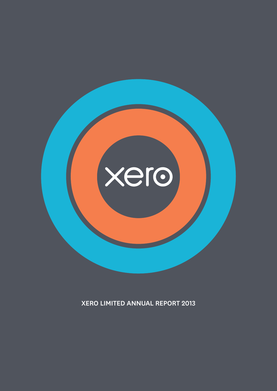

XERO LIMITED ANNUAL REPORT 2013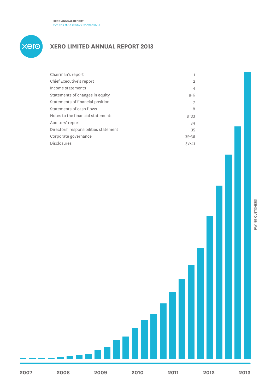

# **Xero limited annual report 2013**

| 1.             |
|----------------|
| $\overline{2}$ |
| $\overline{4}$ |
| $5 - 6$        |
| 7              |
| 8              |
| $9 - 33$       |
| 34             |
| 35             |
| $35 - 38$      |
| $38 - 41$      |
|                |

PAYING CUSTOMERS Paying customers

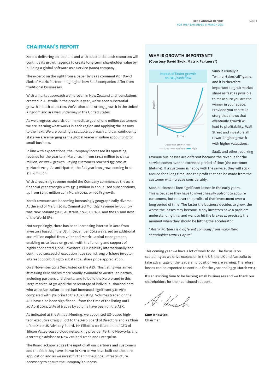# **CHAIRMAN's REPORT**

Xero is delivering on its plans and with substantial cash resources will continue its growth agenda to create long-term shareholder value by building a global Software as a Service (SaaS) company.

The excerpt on the right from a paper by SaaS commentator David Skok of Matrix Partners\* highlights how SaaS companies differ from traditional businesses.

With a market approach well proven in New Zealand and foundations created in Australia in the previous year, we've seen substantial growth in both countries. We've also seen strong growth in the United Kingdom and are well underway in the United States.

As we progress towards our immediate goal of one million customers we are learning what works in each region and applying the lessons to the next. We are building a scalable approach and can confidently state we are emerging as the global leader in online accounting for small business.

In line with expectations, the Company increased its operating revenue for the year to 31 March 2013 from \$19.4 million to \$39.0 million, or 102% growth. Paying customers reached 157,000 at 31 March 2013. As anticipated, the full year loss grew, coming in at \$14.4 million.

With a recurring revenue model the Company commences the 2014 financial year strongly with \$51.5 million in annualised subscriptions, up from \$25.5 million at 31 March 2012, or 102% growth.

Xero's revenues are becoming increasingly geographically diverse. At the end of March 2013, Committed Monthly Revenue by country was New Zealand 38%, Australia 40%, UK 14% and the US and Rest of the World 8%.

Not surprisingly, there has been increasing interest in Xero from investors based in the US. In December 2012 we raised an additional \$60 million capital from Valar and Matrix Capital Management, enabling us to focus on growth with the funding and support of highly connected global investors. Our visibility internationally and continued successful execution have seen strong offshore investor interest contributing to substantial share price appreciation.

On 8 November 2012 Xero listed on the ASX. This listing was aimed at making Xero shares more readily available to Australian parties, including partners and clients, and to build the Xero brand in this large market. At 30 April the percentage of individual shareholders who were Australian-based had increased significantly to 28% compared with 4% prior to the ASX listing. Volumes traded on the ASX have also been significant – from the time of the listing until 30 April 2013, 23% of trades by volume have been on the ASX.

As indicated at the Annual Meeting, we appointed US-based hightech executive Craig Elliott to the Xero Board of Directors and as Chair of the Xero US Advisory Board. Mr Elliott is co-founder and CEO of Silicon Valley-based cloud networking provider Pertino Networks and a strategic advisor to New Zealand Trade and Enterprise.

The Board acknowledges the input of all our partners and customers and the faith they have shown in Xero as we have built out the core application and as we invest further in the global infrastructure necessary to ensure the Company's success.

### **Why is growth important?**

**(Courtesy David Skok, Matrix Partners\*)**



SaaS is usually a "winner-takes-all" game, and it is therefore important to grab market share as fast as possible to make sure you are the winner in your space. Provided you can tell a story that shows that eventually growth will lead to profitability, Wall Street and investors all reward higher growth with higher valuations.

SaaS, and other recurring

revenue businesses are different because the revenue for the service comes over an extended period of time (the customer lifetime). If a customer is happy with the service, they will stick around for a long time, and the profit that can be made from the customer will increase considerably.

SaaS businesses face significant losses in the early years. This is because they have to invest heavily upfront to acquire customers, but recover the profits of that investment over a long period of time. The faster the business decides to grow, the worse the losses may become. Many investors have a problem understanding this, and want to hit the brakes at precisely the moment when they should be hitting the accelerator.

*\*Matrix Partners is a different company from major Xero shareholder Matrix Capital*

This coming year we have a lot of work to do. The focus is on scalability as we drive expansion in the US, the UK and Australia to take advantage of the leadership position we are earning. Therefore losses can be expected to continue for the year ending 31 March 2014.

It's an exciting time to be helping small businesses and we thank our shareholders for their continued support.

 $\frac{1}{k}$ 

**Sam Knowles** Chairman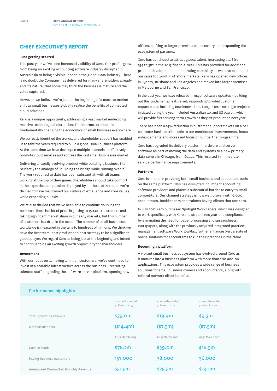# **Chief Executive's Report**

#### **Just getting started**

This past year we've seen increased visibility of Xero. Our profile grew from being an exciting accounting software industry disrupter in Australasia to being a visible leader in the global SaaS industry. There is no doubt the Company has delivered for many shareholders already and it's natural that some may think the business is mature and the value captured.

However, we believe we're just at the beginning of a massive market shift as small businesses globally realise the benefits of connected cloud solutions.

Xero is a unique opportunity, addressing a vast market undergoing massive technological disruption. The internet, or cloud, is fundamentally changing the economics of small business everywhere.

We correctly identified the trends, and shareholder support has enabled us to take the years required to build a global small business platform. At the same time we have developed multiple channels to effectively promote cloud services and address the vast small businesses market.

Delivering a rapidly evolving product while building a business fits perfectly the analogy of "building the bridge while running over it". The work required to date has been substantial, with all teams working at the top of their game. Shareholders should take comfort in the expertise and passion displayed by all those at Xero and we're thrilled to have maintained our culture of excellence and core values while expanding quickly.

We're also thrilled that we've been able to continue doubling the business. There is a lot of pride in getting to 150,000 customers and taking significant market share in our early markets, but this number of customers is a drop in the ocean. The number of small businesses worldwide is measured in the tens to hundreds of millions. We think we have the best team, best product and best strategy to be a significant global player. We regard Xero as being just at the beginning and intend to continue to be an exciting growth opportunity for shareholders.

#### **Investment**

With our focus on achieving a million customers, we've continued to invest in a scalable infrastructure across the business – recruiting talented staff, upgrading the software server platform, opening new offices, shifting to larger premises as necessary, and expanding the ecosystem of partners.

Xero has continued to attract global talent, increasing staff from 194 to 382 in the 2013 financial year. This has provided for additional product development and operating capability as we have expanded our sales footprint in offshore markets. Xero has opened new offices in Sydney, Brisbane and Los Angeles and moved into larger premises in Melbourne and San Francisco.

In the past year we have released 15 major software updates – building out the fundamental feature set, responding to voted customer requests, and including new innovations. Longer-term strategic projects initiated during the year included Australian tax and US payroll, which will provide further long-term growth as they hit production next year.

There has been a 14% reduction in customer support tickets on a per customer basis, attributable to our continuous improvements, feature enhancements and increased focus on our partner programme.

Xero has upgraded its delivery platform hardware and server software as part of moving the data and systems to a new primary data centre in Chicago, from Dallas. This resulted in immediate service performance improvements.

#### **Partners**

Xero is unique in providing both small business and accountant tools on the same platform. This has disrupted incumbent accounting software providers and places a substantial barrier to entry to small competitors. Our channel strategy is now well proven with 6,000 accountants, bookkeepers and trainers having clients that use Xero.

In July 2012 Xero purchased Spotlight Workpapers, which was designed to work specifically with Xero and streamlines year-end compliance by eliminating the need for paper processing and spreadsheets. Workpapers, along with the previously acquired integrated practice management software WorkflowMax, further enhances Xero's suite of online solutions for accountants to run their practices in the cloud.

#### **Becoming a platform**

A vibrant small business ecosystem has evolved around Xero as it matures into a business platform with more than 200 add-on applications. This ecosystem provides a wide range of business solutions for small business owners and accountants, along with referral network effect benefits.

### Performance highlights

|                                      | 12 months ended<br>31 March 2013 | 12 months ended<br>31 March 2012 | 12 months ended<br>31 March 2011 |
|--------------------------------------|----------------------------------|----------------------------------|----------------------------------|
| Total operating revenue              | \$39.0m                          | \$19.4m                          | \$9.3m                           |
| Net loss after tax                   | (\$14.4m)                        | $(*7.9m)$                        | $(*7.5m)$                        |
|                                      | At 31 March 2013                 | At 31 March 2012                 | At 31 March 2011                 |
| Cash at bank                         | \$78.2m                          | \$39.0m                          | \$16.9m                          |
| Paying business customers            | 157,000                          | 78,000                           | 36,000                           |
| Annualised Committed Monthly Revenue | \$51.5m                          | \$25.5m                          | \$13.0m                          |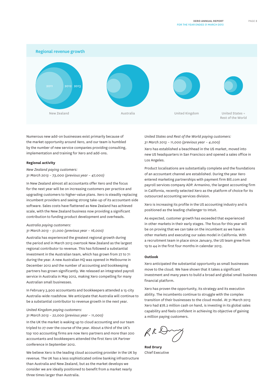

Numerous new add-on businesses exist primarily because of the market opportunity around Xero, and our team is humbled by the number of new service companies providing consulting, implementation and training for Xero and add-ons.

#### **Regional activity**

*New Zealand paying customers: 31 March 2013 – 73,000 (previous year – 47,000)*

In New Zealand almost all accountants offer Xero and the focus for the next year will be on increasing customers per practice and upgrading customers to higher-value plans. Xero is steadily replacing incumbent providers and seeing strong take-up of its accountant-side software. Sales costs have flattened as New Zealand has achieved scale, with the New Zealand business now providing a significant contribution to funding product development and overheads.

#### *Australia paying customers:*

### *31 March 2013 – 51,000 (previous year – 16,000)*

Australia has experienced the greatest regional growth during the period and in March 2013 overtook New Zealand as the largest regional contributor to revenue. This has followed a substantial investment in the Australian team, which has grown from 27 to 71 during the year. A new Australian HQ was opened in Melbourne in December 2012 and the number of accounting and bookkeeping partners has grown significantly. We released an integrated payroll service in Australia in May 2012, making Xero compelling for many Australian small businesses.

In February 3,900 accountants and bookkeepers attended a 15-city Australia-wide roadshow. We anticipate that Australia will continue to be a substantial contributor to revenue growth in the next year.

### *United Kingdom paying customers:*

### *31 March 2013 – 22,000 (previous year – 11,000)*

In the UK the market is waking up to cloud accounting and our team tripled to 27 over the course of the year. About a third of the UK's top 100 accounting firms are now Xero partners and more than 200 accountants and bookkeepers attended the first Xero UK Partner conference in September 2012.

We believe Xero is the leading cloud accounting provider in the UK by revenue. The UK has a less sophisticated online banking infrastructure than Australia and New Zealand, but as the market develops we consider we are ideally positioned to benefit from a market nearly three times larger than Australia.

*United States and Rest of the World paying customers: 31 March 2013 – 11,000 (previous year – 4,000)*

Xero has established a beachhead in the US market, moved into new US headquarters in San Francisco and opened a sales office in Los Angeles.

Product localisations are substantially complete and the foundations of an accountant channel are established. During the year Xero entered marketing partnerships with payment firm Bill.com and payroll services company ADP. Armanino, the largest accounting firm in California, recently selected Xero as the platform of choice for its outsourced accounting services division.

Xero is increasing its profile in the US accounting industry and is positioned as the leading challenger to Intuit.

As expected, customer growth has exceeded that experienced in other markets in their early stages. The focus for this year will be on proving that we can take on the incumbent as we have in other markets and executing our sales model in California. With a recruitment team in place since January, the US team grew from 19 to 44 in the first four months in calendar 2013.

### **Outlook**

Xero anticipated the substantial opportunity as small businesses move to the cloud. We have shown that it takes a significant investment and many years to build a broad and global small business financial platform.

Xero has proven the opportunity, its strategy and its execution ability. The incumbents continue to struggle with the complex transition of their businesses to the cloud model. At 31 March 2013 Xero had \$78.2 million cash on hand, is investing in its global sales capability and feels confident in achieving its objective of gaining a million paying customers.

**Rod Drury** Chief Executive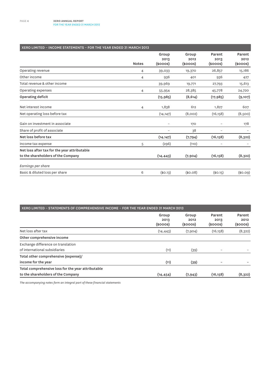| XERO LIMITED - INCOME STATEMENTS - FOR THE YEAR ENDED 31 MARCH 2013 |              |                                |                                |                                 |                                 |
|---------------------------------------------------------------------|--------------|--------------------------------|--------------------------------|---------------------------------|---------------------------------|
|                                                                     | <b>Notes</b> | Group<br>2013<br>$(s$ ooos $)$ | Group<br>2012<br>$(s$ ooos $)$ | Parent<br>2013<br>$(s$ ooos $)$ | Parent<br>2012<br>$(s$ ooos $)$ |
| Operating revenue                                                   | 4            | 39,033                         | 19,370                         | 26,857                          | 15,186                          |
| Other income                                                        | 4            | 936                            | 401                            | 936                             | 427                             |
| Total revenue & other income                                        |              | 39,969                         | 19,771                         | 27,793                          | 15,613                          |
| Operating expenses                                                  | 4            | 55,954                         | 28,385                         | 45,778                          | 24,720                          |
| Operating deficit                                                   |              | (15, 985)                      | (8,614)                        | (17, 985)                       | (9,107)                         |
| Net interest income                                                 | 4            | 1,838                          | 612                            | 1,827                           | 607                             |
| Net operating loss before tax                                       |              | (14, 147)                      | (8,002)                        | (16, 158)                       | (8,500)                         |
| Gain on investment in associate                                     |              | $\overline{\phantom{m}}$       | 170                            |                                 | 178                             |
| Share of profit of associate                                        |              |                                | 38                             |                                 |                                 |
| Net loss before tax                                                 |              | (14, 147)                      | (7, 794)                       | (16, 158)                       | (8,322)                         |
| Income tax expense                                                  | 5            | (296)                          | (110)                          | $\overline{\phantom{a}}$        |                                 |
| Net loss after tax for the year attributable                        |              |                                |                                |                                 |                                 |
| to the shareholders of the Company                                  |              | (14, 443)                      | (7,904)                        | (16, 158)                       | (8,322)                         |
| Earnings per share                                                  |              |                                |                                |                                 |                                 |
| Basic & diluted loss per share                                      | 6            | (\$O.13)                       | (\$0.08)                       | (\$0.15)                        | (\$0.09)                        |

| XERO LIMITED - STATEMENTS OF COMPREHENSIVE INCOME - FOR THE YEAR ENDED 31 MARCH 2013 |                                |                                |                                 |                                 |  |
|--------------------------------------------------------------------------------------|--------------------------------|--------------------------------|---------------------------------|---------------------------------|--|
|                                                                                      | Group<br>2013<br>$(s$ ooos $)$ | Group<br>2012<br>$(s$ ooos $)$ | Parent<br>2013<br>$(s$ ooos $)$ | Parent<br>2012<br>$(s$ ooos $)$ |  |
| Net loss after tax                                                                   | (14, 443)                      | (7,904)                        | (16, 158)                       | (8,322)                         |  |
| Other comprehensive income                                                           |                                |                                |                                 |                                 |  |
| Exchange difference on translation                                                   |                                |                                |                                 |                                 |  |
| of international subsidiaries                                                        | (11)                           | (39)                           |                                 |                                 |  |
| Total other comprehensive (expense)/                                                 |                                |                                |                                 |                                 |  |
| income for the year                                                                  | (11)                           | (39)                           |                                 |                                 |  |
| Total comprehensive loss for the year attributable                                   |                                |                                |                                 |                                 |  |
| to the shareholders of the Company                                                   | (14, 454)                      | (7, 943)                       | (16, 158)                       | (8,322)                         |  |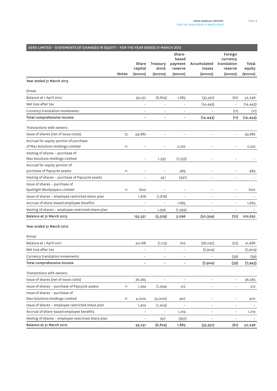| XERO LIMITED - STATEMENTS OF CHANGES IN EQUITY - FOR THE YEAR ENDED 31 MARCH 2013 |              |                          |                          |                                       |                          |                                               |                   |
|-----------------------------------------------------------------------------------|--------------|--------------------------|--------------------------|---------------------------------------|--------------------------|-----------------------------------------------|-------------------|
|                                                                                   |              | Share<br>capital         | Treasury<br>stock        | Share-<br>based<br>payment<br>reserve | Accumulated<br>losses    | Foreign<br>currency<br>translation<br>reserve | Total<br>equity   |
|                                                                                   | <b>Notes</b> | (\$000S)                 | $(s$ ooos $)$            | $(s$ ooos)                            | $(s$ ooos $)$            | $(s$ ooos $)$                                 | $(s$ ooos $)$     |
| Year ended 31 March 2013                                                          |              |                          |                          |                                       |                          |                                               |                   |
| Group                                                                             |              |                          |                          |                                       |                          |                                               |                   |
| Balance at 1 April 2012                                                           |              | 93,251                   | (6, 874)                 | 1,883                                 | (35, 951)                | (61)                                          | 52,248            |
| Net loss after tax                                                                |              | $\overline{\phantom{m}}$ | $\overline{a}$           | $\qquad \qquad -$                     | (14, 443)                | $\qquad \qquad -$                             | (14,443)          |
| Currency translation movements                                                    |              |                          |                          |                                       |                          | (11)                                          | (11)              |
| Total comprehensive income                                                        |              | $\overline{\phantom{0}}$ | $\overline{\phantom{0}}$ | ÷                                     | (14, 443)                | (11)                                          | (14, 454)         |
| Transactions with owners:                                                         |              |                          |                          |                                       |                          |                                               |                   |
| Issue of shares (net of issue costs)                                              | 13           | 59,882                   | $\overline{a}$           | $\overline{\phantom{a}}$              |                          | $\overline{\phantom{a}}$                      | 59,882            |
| Accrual for equity portion of purchase                                            |              |                          |                          |                                       |                          |                                               |                   |
| of Max Solutions Holdings Limited                                                 | 11           | $\overline{a}$           | $\overline{a}$           | 2,222                                 |                          | $\qquad \qquad -$                             | 2,222             |
| Vesting of shares - purchase of                                                   |              |                          |                          |                                       |                          |                                               |                   |
| Max Solutions Holdings Limited                                                    |              | $\qquad \qquad -$        | 1,333                    | (1, 333)                              |                          |                                               |                   |
| Accrual for equity portion of                                                     |              |                          |                          |                                       |                          |                                               |                   |
| purchase of Paycycle assets                                                       | 11           | $\overline{\phantom{a}}$ |                          | 489                                   | $\overline{a}$           | $\qquad \qquad -$                             | 489               |
| Vesting of shares - purchase of Paycycle assets                                   |              | $\overline{\phantom{0}}$ | 431                      | (431)                                 | $\overline{a}$           |                                               |                   |
| Issue of shares - purchase of                                                     |              |                          |                          |                                       |                          |                                               |                   |
| Spotlight Workpapers Limited                                                      | 11           | 600                      |                          | $\overline{\phantom{0}}$              | $\overline{a}$           | $\overline{\phantom{0}}$                      | 600               |
| Issue of shares - employee restricted share plan                                  |              | 1,818                    | (1, 818)                 | $\qquad \qquad -$                     | $\qquad \qquad -$        | $\overline{\phantom{a}}$                      |                   |
| Accrual of share-based employee benefits                                          |              | $\overline{a}$           | $\overline{\phantom{0}}$ | 1,665                                 | $\overline{a}$           | $\overline{a}$                                | 1,665             |
| Vesting of shares - employee restricted share plan                                |              | $\overline{\phantom{0}}$ | 1,399                    | (1, 399)                              |                          |                                               |                   |
| Balance at 31 March 2013                                                          |              | 155,551                  | (5, 529)                 | 3,096                                 | (50, 394)                | (72)                                          | 102,652           |
| Year ended 31 March 2012                                                          |              |                          |                          |                                       |                          |                                               |                   |
| Group                                                                             |              |                          |                          |                                       |                          |                                               |                   |
| Balance at 1 April 2011                                                           |              | 50,168                   | (1, 113)                 | 702                                   | (28, 047)                | (22)                                          | 21,688            |
| Net loss after tax                                                                |              | $\overline{\phantom{0}}$ | $\overline{a}$           | $\overline{\phantom{a}}$              | (7,904)                  | $\overline{\phantom{a}}$                      | (7,904)           |
| Currency translation movements                                                    |              |                          |                          | $\overline{\phantom{0}}$              |                          | (39)                                          | (39)              |
| Total comprehensive income                                                        |              | $\overline{\phantom{a}}$ | $\overline{\phantom{a}}$ | $\overline{\phantom{a}}$              | (7,904)                  | (39)                                          | (7, 943)          |
| Transactions with owners:                                                         |              |                          |                          |                                       |                          |                                               |                   |
| Issue of shares (net of issue costs)                                              |              | 36,365                   | $\qquad \qquad -$        | $\qquad \qquad -$                     | $\qquad \qquad -$        | $\overline{\phantom{a}}$                      | 36,365            |
| Issue of shares - purchase of Paycycle assets                                     | 11           | 1,294                    | (1, 294)                 | 512                                   | $\overline{\phantom{0}}$ | $\qquad \qquad -$                             | 512               |
| Issue of shares - purchase of                                                     |              |                          |                          |                                       |                          |                                               |                   |
| Max Solutions Holdings Limited                                                    | 11           | 4,000                    | (4,000)                  | 407                                   | -                        | $\overline{a}$                                | 407               |
| Issue of shares - employee restricted share plan                                  |              | 1,424                    | (1, 424)                 | $\overline{a}$                        | $\overline{a}$           | $\overline{\phantom{a}}$                      | $\qquad \qquad -$ |
| Accrual of share-based employee benefits                                          |              | $\overline{\phantom{0}}$ | $\overline{\phantom{a}}$ | 1,219                                 | $\overline{\phantom{0}}$ | $\overline{\phantom{a}}$                      | 1,219             |
| Vesting of shares - employee restricted share plan                                |              | $\qquad \qquad -$        | 957                      | (957)                                 |                          | $\overline{\phantom{0}}$                      |                   |
| Balance at 31 March 2012                                                          |              | 93,251                   | (6, 874)                 | 1,883                                 | (35, 951)                | (61)                                          | 52,248            |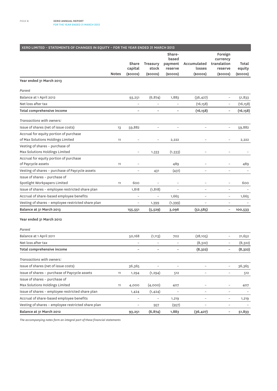| XERO LIMITED - STATEMENTS OF CHANGES IN EQUITY - FOR THE YEAR ENDED 31 MARCH 2013 |              |                          |                          |                                       |                          |                                               |                 |
|-----------------------------------------------------------------------------------|--------------|--------------------------|--------------------------|---------------------------------------|--------------------------|-----------------------------------------------|-----------------|
|                                                                                   |              | Share<br>capital         | Treasury<br>stock        | Share-<br>based<br>payment<br>reserve | Accumulated<br>losses    | Foreign<br>currency<br>translation<br>reserve | Total<br>equity |
|                                                                                   | <b>Notes</b> | (\$000S)                 | $(s$ ooos $)$            | $(s$ ooos $)$                         | $(s$ ooos $)$            | $(s$ ooos $)$                                 | $(s$ ooos $)$   |
| Year ended 31 March 2013                                                          |              |                          |                          |                                       |                          |                                               |                 |
| Parent                                                                            |              |                          |                          |                                       |                          |                                               |                 |
| Balance at 1 April 2012                                                           |              | 93,251                   | (6, 874)                 | 1,883                                 | (36, 427)                | -                                             | 51,833          |
| Net loss after tax                                                                |              |                          |                          |                                       | (16, 158)                | $\overline{a}$                                | (16, 158)       |
| Total comprehensive income                                                        |              |                          | $\overline{a}$           |                                       | (16, 158)                | $\overline{\phantom{0}}$                      | (16, 158)       |
| Transactions with owners:                                                         |              |                          |                          |                                       |                          |                                               |                 |
| Issue of shares (net of issue costs)                                              | 13           | 59,882                   | $\overline{a}$           |                                       |                          | $\overline{\phantom{0}}$                      | 59,882          |
| Accrual for equity portion of purchase<br>of Max Solutions Holdings Limited       | 11           | $\overline{\phantom{0}}$ | $\overline{a}$           | 2,222                                 |                          | $\overline{a}$                                | 2,222           |
| Vesting of shares - purchase of<br>Max Solutions Holdings Limited                 |              | $\overline{a}$           | 1,333                    | (1, 333)                              |                          | $\overline{a}$                                |                 |
| Accrual for equity portion of purchase<br>of Paycycle assets                      | 11           |                          |                          | 489                                   |                          | $\overline{a}$                                | 489             |
| Vesting of shares - purchase of Paycycle assets                                   |              | $\overline{a}$           | 431                      | (431)                                 | $\overline{a}$           | $\overline{a}$                                |                 |
| Issue of shares - purchase of                                                     |              |                          |                          |                                       |                          |                                               |                 |
| Spotlight Workpapers Limited                                                      | 11           | 600                      |                          |                                       |                          | $\overline{\phantom{0}}$                      | 600             |
| Issue of shares - employee restricted share plan                                  |              | 1,818                    | (1, 818)                 | $\overline{\phantom{a}}$              | $\qquad \qquad -$        | $\overline{a}$                                |                 |
| Accrual of share-based employee benefits                                          |              | $\overline{\phantom{m}}$ | $\overline{a}$           | 1,665                                 | $\overline{a}$           | $\overline{\phantom{a}}$                      | 1,665           |
| Vesting of shares - employee restricted share plan                                |              | $\qquad \qquad -$        | 1,399                    | (1, 399)                              |                          | $\overline{a}$                                |                 |
| Balance at 31 March 2013                                                          |              | 155,551                  | (5, 529)                 | 3,096                                 | (52, 585)                | $\qquad \qquad -$                             | 100,533         |
| Year ended 31 March 2012                                                          |              |                          |                          |                                       |                          |                                               |                 |
| Parent                                                                            |              |                          |                          |                                       |                          |                                               |                 |
| Balance at 1 April 2011                                                           |              | 50,168                   | (1, 113)                 | 702                                   | (28, 105)                | $\qquad \qquad -$                             | 21,652          |
| Net loss after tax                                                                |              | $\overline{\phantom{m}}$ | $\overline{\phantom{0}}$ | $\overline{a}$                        | (8,322)                  | $\qquad \qquad -$                             | (8, 322)        |
| Total comprehensive income                                                        |              | $\overline{\phantom{a}}$ | $\overline{\phantom{0}}$ |                                       | (8,322)                  | $\qquad \qquad -$                             | (8,322)         |
| Transactions with owners:                                                         |              |                          |                          |                                       |                          |                                               |                 |
| Issue of shares (net of issue costs)                                              |              | 36,365                   |                          |                                       | $\overline{\phantom{0}}$ | $\overline{\phantom{0}}$                      | 36,365          |
| Issue of shares - purchase of Paycycle assets                                     | 11           | 1,294                    | (1, 294)                 | 512                                   | $\overline{\phantom{0}}$ | $\overline{\phantom{a}}$                      | 512             |
| Issue of shares - purchase of                                                     |              |                          |                          |                                       |                          |                                               |                 |
| Max Solutions Holdings Limited                                                    | 11           | 4,000                    | (4,000)                  | 407                                   |                          | $\qquad \qquad -$                             | 407             |
| Issue of shares - employee restricted share plan                                  |              | 1,424                    | (1, 424)                 |                                       | $\overline{a}$           | $\overline{\phantom{0}}$                      |                 |
| Accrual of share-based employee benefits                                          |              | $\overline{\phantom{a}}$ | $\overline{\phantom{0}}$ | 1,219                                 | $\overline{\phantom{0}}$ | $\qquad \qquad -$                             | 1,219           |
| Vesting of shares - employee restricted share plan                                |              | $\overline{\phantom{a}}$ | 957                      | (957)                                 |                          | $\overline{a}$                                |                 |
| Balance at 31 March 2012                                                          |              | 93,251                   | (6, 874)                 | 1,883                                 | (36, 427)                | $\overline{\phantom{0}}$                      | 51,833          |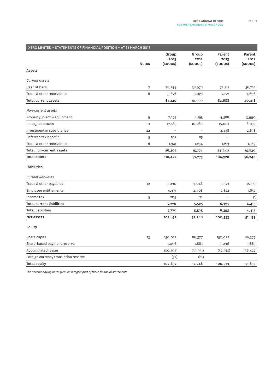| XERO LIMITED - STATEMENTS OF FINANCIAL POSITION - AT 31 MARCH 2013 |              |                             |                           |                            |                              |  |  |  |
|--------------------------------------------------------------------|--------------|-----------------------------|---------------------------|----------------------------|------------------------------|--|--|--|
|                                                                    | <b>Notes</b> | Group<br>2013<br>$(s$ ooos) | Group<br>2012<br>(\$000S) | Parent<br>2013<br>(\$000S) | Parent<br>2012<br>$(s$ ooos) |  |  |  |
| <b>Assets</b>                                                      |              |                             |                           |                            |                              |  |  |  |
| <b>Current assets</b>                                              |              |                             |                           |                            |                              |  |  |  |
| Cash at bank                                                       | 7            | 78,244                      | 38,976                    | 75,511                     | 36,722                       |  |  |  |
| Trade & other receivables                                          | 8            | 5,876                       | 3,023                     | 7,177                      | 3,696                        |  |  |  |
| <b>Total current assets</b>                                        |              | 84,120                      | 41,999                    | 82,688                     | 40,418                       |  |  |  |
| Non-current assets                                                 |              |                             |                           |                            |                              |  |  |  |
| Property, plant & equipment                                        | 9            | 7,274                       | 4,195                     | 4,588                      | 3,990                        |  |  |  |
| Intangible assets                                                  | 10           | 17,585                      | 10,260                    | 15,001                     | 8,033                        |  |  |  |
| Investment in subsidiaries                                         | 22           | $\overline{\phantom{a}}$    | $\overline{a}$            | 3,438                      | 2,638                        |  |  |  |
| Deferred tax benefit                                               | 5            | 102                         | 85                        |                            |                              |  |  |  |
| Trade & other receivables                                          | 8            | 1,341                       | 1,234                     | 1,213                      | 1,169                        |  |  |  |
| Total non-current assets                                           |              | 26,302                      | 15,774                    | 24,240                     | 15,830                       |  |  |  |
| <b>Total assets</b>                                                |              | 110,422                     | 57,773                    | 106,928                    | 56,248                       |  |  |  |
| Liabilities                                                        |              |                             |                           |                            |                              |  |  |  |
| <b>Current liabilities</b>                                         |              |                             |                           |                            |                              |  |  |  |
| Trade & other payables                                             | 12           | 3,090                       | 3,046                     | 3,573                      | 2,759                        |  |  |  |
| <b>Employee entitlements</b>                                       |              | 4,471                       | 2,408                     | 2,822                      | 1,657                        |  |  |  |
| Income tax                                                         | 5            | 209                         | 71                        |                            | (1)                          |  |  |  |
| <b>Total current liabilities</b>                                   |              | 7,770                       | 5,525                     | 6,395                      | 4,415                        |  |  |  |
| <b>Total liabilities</b>                                           |              | 7,770                       | 5,525                     | 6,395                      | 4,415                        |  |  |  |
| Net assets                                                         |              | 102,652                     | 52,248                    | 100,533                    | 51,833                       |  |  |  |
| Equity                                                             |              |                             |                           |                            |                              |  |  |  |
| Share capital                                                      | 13           | 150,022                     | 86,377                    | 150,022                    | 86,377                       |  |  |  |
| Share-based payment reserve                                        |              | 3,096                       | 1,883                     | 3,096                      | 1,883                        |  |  |  |
| <b>Accumulated losses</b>                                          |              | (50, 394)                   | (35, 951)                 | (52, 585)                  | (36, 427)                    |  |  |  |
| Foreign currency translation reserve                               |              | (72)                        | (61)                      |                            |                              |  |  |  |
| Total equity                                                       |              | 102,652                     | 52,248                    | 100,533                    | 51,833                       |  |  |  |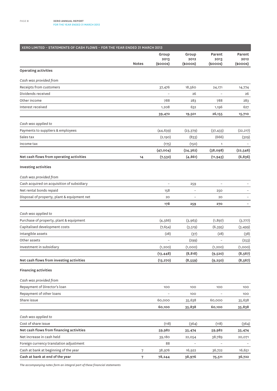| XERO LIMITED - STATEMENTS OF CASH FLOWS - FOR THE YEAR ENDED 31 MARCH 2013 |              |                                |                                |                                 |                            |
|----------------------------------------------------------------------------|--------------|--------------------------------|--------------------------------|---------------------------------|----------------------------|
|                                                                            | <b>Notes</b> | Group<br>2013<br>$(s$ ooos $)$ | Group<br>2012<br>$(s$ ooos $)$ | Parent<br>2013<br>$(s$ ooos $)$ | Parent<br>2012<br>(\$000S) |
| Operating activities                                                       |              |                                |                                |                                 |                            |
| Cash was provided from                                                     |              |                                |                                |                                 |                            |
| Receipts from customers                                                    |              | 37,476                         | 18,560                         | 24,171                          | 14,774                     |
| Dividends received                                                         |              |                                | 26                             | $\overline{a}$                  | 26                         |
| Other income                                                               |              | 788                            | 283                            | 788                             | 283                        |
| Interest received                                                          |              | 1,208                          | 632                            | 1,196                           | 627                        |
|                                                                            |              | 39,472                         | 19,501                         | 26,155                          | 15,710                     |
| Cash was applied to                                                        |              |                                |                                |                                 |                            |
| Payments to suppliers & employees                                          |              | (44, 639)                      | (23, 379)                      | (37, 433)                       | (22, 217)                  |
| Sales tax                                                                  |              | (2,190)                        | (833)                          | (666)                           | (329)                      |
| Income tax                                                                 |              | (175)                          | (150)                          | $\mathbf{1}$                    |                            |
|                                                                            |              | (47,004)                       | (24, 362)                      | (38,098)                        | (22, 546)                  |
| Net cash flows from operating activities                                   | 14           | (7,532)                        | (4, 861)                       | (11, 943)                       | (6, 836)                   |
| Investing activities                                                       |              |                                |                                |                                 |                            |
| Cash was provided from                                                     |              |                                |                                |                                 |                            |
| Cash acquired on acquisition of subsidiary                                 |              | $\overline{a}$                 | 259                            | $\overline{a}$                  |                            |
| Net rental bonds repaid                                                    |              | 158                            | $\overline{a}$                 | 250                             |                            |
| Disposal of property, plant & equipment net                                |              | 20                             |                                | 20                              |                            |
|                                                                            |              | 178                            | 259                            | 270                             |                            |
| Cash was applied to                                                        |              |                                |                                |                                 |                            |
| Purchase of property, plant & equipment                                    |              | (4, 566)                       | (3,963)                        | (1, 897)                        | (3,777)                    |
| Capitalised development costs                                              |              | (7,654)                        | (3,519)                        | (6, 395)                        | (3, 499)                   |
| Intangible assets                                                          |              | (28)                           | (37)                           | (28)                            | (38)                       |
| Other assets                                                               |              |                                | (299)                          |                                 | (253)                      |
| Investment in subsidiary                                                   |              | (1,200)                        | (1,000)                        | (1,200)                         | (1,000)                    |
|                                                                            |              | (13, 448)                      | (8, 818)                       | (9,520)                         | (8, 567)                   |
| Net cash flows from investing activities                                   |              | (13, 270)                      | (8,559)                        | (9, 250)                        | (8, 567)                   |
| <b>Financing activities</b>                                                |              |                                |                                |                                 |                            |
| Cash was provided from                                                     |              |                                |                                |                                 |                            |
| Repayment of Director's loan                                               |              | 100                            | 100                            | 100                             | 100                        |
| Repayment of other loans                                                   |              |                                | 100                            |                                 | 100                        |
| Share issue                                                                |              | 60,000                         | 35,638                         | 60,000                          | 35,638                     |
|                                                                            |              | 60,100                         | 35,838                         | 60,100                          | 35,838                     |
| Cash was applied to                                                        |              |                                |                                |                                 |                            |
| Cost of share issue                                                        |              | (118)                          | (364)                          | (118)                           | (364)                      |
| Net cash flows from financing activities                                   |              | 59,982                         | 35,474                         | 59,982                          | 35,474                     |
| Net increase in cash held                                                  |              | 39,180                         | 22,054                         | 38,789                          | 20,071                     |
| Foreign currency translation adjustment                                    |              | 88                             |                                |                                 |                            |
| Cash at bank at beginning of the year                                      | 7            | 38,976                         | 16,922                         | 36,722                          | 16,651                     |
| Cash at bank at end of the year                                            | 7            | 78,244                         | 38,976                         | 75,511                          | 36,722                     |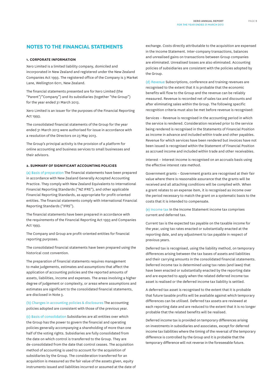## **NOTES TO THE FINANCIAL STATEMENTS**

#### **1. CORPORATE INFORMATION**

Xero Limited is a limited liability company, domiciled and incorporated in New Zealand and registered under the New Zealand Companies Act 1993. The registered office of the Company is 3 Market Lane, Wellington 6011, New Zealand.

The financial statements presented are for Xero Limited (the "Parent"/"Company") and its subsidiaries (together "the Group") for the year ended 31 March 2013.

Xero Limited is an issuer for the purposes of the Financial Reporting Act 1993.

The consolidated financial statements of the Group for the year ended 31 March 2013 were authorised for issue in accordance with a resolution of the Directors on 23 May 2013.

The Group's principal activity is the provision of a platform for online accounting and business services to small businesses and their advisors.

### **2. SUMMARY OF SIGNIFICANT ACCOUNTING POLICIES**

(a) Basis of preparation The financial statements have been prepared in accordance with New Zealand Generally Accepted Accounting Practice. They comply with New Zealand Equivalents to International Financial Reporting Standards ("NZ IFRS"), and other applicable Financial Reporting Standards, as appropriate for profit-oriented entities. The financial statements comply with International Financial Reporting Standards ("IFRS").

The financial statements have been prepared in accordance with the requirements of the Financial Reporting Act 1993 and Companies Act 1993.

The Company and Group are profit-oriented entities for financial reporting purposes.

The consolidated financial statements have been prepared using the historical cost convention.

The preparation of financial statements requires management to make judgements, estimates and assumptions that affect the application of accounting policies and the reported amounts of assets, liabilities, income and expenses. The areas involving a higher degree of judgement or complexity, or areas where assumptions and estimates are significant to the consolidated financial statements, are disclosed in Note 3.

(b) Changes in accounting policies & disclosures The accounting policies adopted are consistent with those of the previous year.

(c) Basis of consolidation Subsidiaries are all entities over which the Group has the power to govern the financial and operating policies generally accompanying a shareholding of more than one half of the voting rights. Subsidiaries are fully consolidated from the date on which control is transferred to the Group. They are de-consolidated from the date that control ceases. The acquisition method of accounting is used to account for the acquisition of subsidiaries by the Group. The consideration transferred for an acquisition is measured as the fair value of the assets given, equity instruments issued and liabilities incurred or assumed at the date of exchange. Costs directly attributable to the acquisition are expensed in the Income Statement. Inter-company transactions, balances and unrealised gains on transactions between Group companies are eliminated. Unrealised losses are also eliminated. Accounting policies of subsidiaries are consistent with the policies adopted by the Group.

(d) Revenue Subscriptions, conference and training revenues are recognised to the extent that it is probable that the economic benefits will flow to the Group and the revenue can be reliably measured. Revenue is recorded net of sales tax and discounts and after eliminating sales within the Group. The following specific recognition criteria must also be met before revenue is recognised:

Services – Revenue is recognised in the accounting period in which the service is rendered. Consideration received prior to the service being rendered is recognised in the Statements of Financial Position as income in advance and included within trade and other payables. Revenue for which services have been rendered but invoices have not been issued is recognised within the Statement of Financial Position as accrued income and included within trade and other receivables.

Interest – Interest income is recognised on an accruals basis using the effective interest rate method.

Government grants – Government grants are recognised at their fair value where there is reasonable assurance that the grants will be received and all attaching conditions will be complied with. When a grant relates to an expense item, it is recognised as income over the period necessary to match the grant on a systematic basis to the costs that it is intended to compensate.

(e) Income tax In the Income Statement income tax comprises current and deferred tax.

Current tax is the expected tax payable on the taxable income for the year, using tax rates enacted or substantially enacted at the reporting date, and any adjustment to tax payable in respect of previous years.

Deferred tax is recognised, using the liability method, on temporary differences arising between the tax bases of assets and liabilities and their carrying amounts in the consolidated financial statements. Deferred income tax is determined using tax rates (and laws) that have been enacted or substantially enacted by the reporting date and are expected to apply when the related deferred income tax asset is realised or the deferred income tax liability is settled.

A deferred tax asset is recognised to the extent that it is probable that future taxable profits will be available against which temporary differences can be utilised. Deferred tax assets are reviewed at each reporting date and are reduced to the extent that it is no longer probable that the related benefits will be realised.

Deferred income tax is provided on temporary differences arising on investments in subsidiaries and associates, except for deferred income tax liabilities where the timing of the reversal of the temporary difference is controlled by the Group and it is probable that the temporary difference will not reverse in the foreseeable future.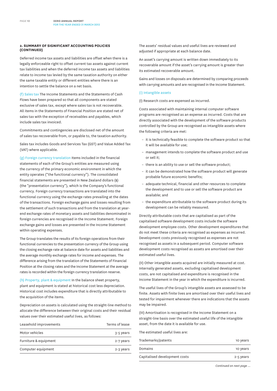### **2. SUMMARY OF SIGNIFICANT ACCOUNTING POLICIES (CONTINUED)**

Deferred income tax assets and liabilities are offset when there is a legally enforceable right to offset current tax assets against current tax liabilities and when the deferred income tax assets and liabilities relate to income tax levied by the same taxation authority on either the same taxable entity or different entities where there is an intention to settle the balance on a net basis.

(f) Sales tax The Income Statements and the Statements of Cash Flows have been prepared so that all components are stated exclusive of sales tax, except where sales tax is not recoverable. All items in the Statements of Financial Position are stated net of sales tax with the exception of receivables and payables, which include sales tax invoiced.

Commitments and contingencies are disclosed net of the amount of sales tax recoverable from, or payable to, the taxation authority.

Sales tax includes Goods and Services Tax (GST) and Value Added Tax (VAT) where applicable.

(g) Foreign currency translation Items included in the financial statements of each of the Group's entities are measured using the currency of the primary economic environment in which the entity operates ("the functional currency"). The consolidated financial statements are presented in New Zealand dollars (\$) (the "presentation currency"), which is the Company's functional currency. Foreign currency transactions are translated into the functional currency using the exchange rates prevailing at the dates of the transactions. Foreign exchange gains and losses resulting from the settlement of such transactions and from the translation at yearend exchange rates of monetary assets and liabilities denominated in foreign currencies are recognised in the Income Statement. Foreign exchange gains and losses are presented in the Income Statement within operating expenses.

The Group translates the results of its foreign operations from their functional currencies to the presentation currency of the Group using the closing exchange rate at balance date for assets and liabilities and the average monthly exchange rates for income and expenses. The difference arising from the translation of the Statements of Financial Position at the closing rates and the Income Statement at the average rates is recorded within the foreign currency translation reserve.

(h) Property, plant & equipment In the balance sheet property, plant and equipment is stated at historical cost less depreciation. Historical cost includes expenditure that is directly attributable to the acquisition of the items.

Depreciation on assets is calculated using the straight-line method to allocate the difference between their original costs and their residual values over their estimated useful lives, as follows:

| Leasehold improvements | Terms of lease |
|------------------------|----------------|
| Motor vehicles         | 3-5 years      |
| Furniture & equipment  | 2-7 years      |
| Computer equipment     | 2-3 years      |
|                        |                |

The assets' residual values and useful lives are reviewed and adjusted if appropriate at each balance date.

An asset's carrying amount is written down immediately to its recoverable amount if the asset's carrying amount is greater than its estimated recoverable amount.

Gains and losses on disposals are determined by comparing proceeds with carrying amounts and are recognised in the Income Statement.

#### (i) Intangible assets

(I) Research costs are expensed as incurred.

Costs associated with maintaining internal computer software programs are recognised as an expense as incurred. Costs that are directly associated with the development of the software products controlled by the Group are recognised as intangible assets where the following criteria are met:

- it is technically feasible to complete the software product so that it will be available for use;
- management intends to complete the software product and use or sell it;
- there is an ability to use or sell the software product;
- it can be demonstrated how the software product will generate probable future economic benefits;
- adequate technical, financial and other resources to complete the development and to use or sell the software product are available; and
- the expenditure attributable to the software product during its development can be reliably measured.

Directly attributable costs that are capitalised as part of the capitalised software development costs include the software development employee costs. Other development expenditures that do not meet these criteria are recognised as expenses as incurred. Development costs previously recognised as expenses are not recognised as assets in a subsequent period. Computer software development costs recognised as assets are amortised over their estimated useful lives.

(II) Other intangible assets acquired are initially measured at cost. Internally generated assets, excluding capitalised development costs, are not capitalised and expenditure is recognised in the Income Statement in the year in which the expenditure is incurred.

The useful lives of the Group's intangible assets are assessed to be finite. Assets with finite lives are amortised over their useful lives and tested for impairment whenever there are indications that the assets may be impaired.

(III) Amortisation is recognised in the Income Statement on a straight-line basis over the estimated useful life of the intangible asset, from the date it is available for use.

The estimated useful lives are:

| Trademarks/patents            | 10 years  |
|-------------------------------|-----------|
| Domains                       | 10 years  |
| Capitalised development costs | 2-5 years |

*Continued on next page ...*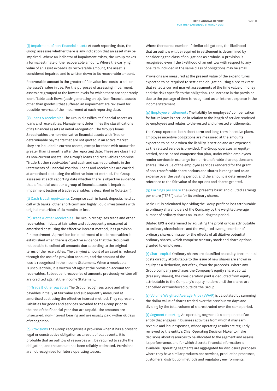(j) Impairment of non-financial assets At each reporting date, the Group assesses whether there is any indication that an asset may be impaired. Where an indicator of impairment exists, the Group makes a formal estimate of the recoverable amount. Where the carrying value of an asset exceeds its recoverable amount, the asset is considered impaired and is written down to its recoverable amount.

Recoverable amount is the greater of fair value less costs to sell or the asset's value in use. For the purposes of assessing impairment, assets are grouped at the lowest levels for which there are separately identifiable cash flows (cash-generating units). Non-financial assets other than goodwill that suffered an impairment are reviewed for possible reversal of the impairment at each reporting date.

(k) Loans & receivables The Group classifies its financial assets as loans and receivables. Management determines the classifications of its financial assets at initial recognition. The Group's loans & receivables are non-derivative financial assets with fixed or determinable payments that are not quoted in an active market. They are included in current assets, except for those with maturities greater than 12 months after the reporting date. These are classified as non-current assets. The Group's loans and receivables comprise "trade & other receivables" and cash and cash equivalents in the Statements of Financial Position. Loans and receivables are carried at amortised cost using the effective interest method. The Group assesses at each reporting date whether there is objective evidence that a financial asset or a group of financial assets is impaired. Impairment testing of trade receivables is described in Note 2.(m).

(l) Cash & cash equivalents Comprise cash in hand, deposits held at call with banks, other short-term and highly liquid investments with original maturities of six months or less.

(m) Trade & other receivables The Group recognises trade and other receivables initially at fair value and subsequently measured at amortised cost using the effective interest method, less provision for impairment. A provision for impairment of trade receivables is established when there is objective evidence that the Group will not be able to collect all amounts due according to the original terms of the receivables. The carrying amount of an asset is reduced through the use of a provision account, and the amount of the loss is recognised in the Income Statement. When a receivable is uncollectible, it is written off against the provision account for receivables. Subsequent recoveries of amounts previously written off are credited against the Income Statement.

(n) Trade & other payables The Group recognises trade and other payables initially at fair value and subsequently measured at amortised cost using the effective interest method. They represent liabilities for goods and services provided to the Group prior to the end of the financial year that are unpaid. The amounts are unsecured, non-interest bearing and are usually paid within 45 days of recognition.

(o) Provisions The Group recognises a provision when it has a present legal or constructive obligation as a result of past events, it is probable that an outflow of resources will be required to settle the obligation, and the amount has been reliably estimated. Provisions are not recognised for future operating losses.

Where there are a number of similar obligations, the likelihood that an outflow will be required in settlement is determined by considering the class of obligations as a whole. A provision is recognised even if the likelihood of an outflow with respect to any one item included in the same class of obligations may be small.

Provisions are measured at the present value of the expenditures expected to be required to settle the obligation using a pre-tax rate that reflects current market assessments of the time value of money and the risks specific to the obligation. The increase in the provision due to the passage of time is recognised as an interest expense in the Income Statement.

(p) Employee entitlements The liability for employees' compensation for future leave is accrued in relation to the length of service rendered by employees and relates to the vested and unvested entitlements.

The Group operates both short-term and long-term incentive plans. Employee incentive obligations are measured at the amounts expected to be paid when the liability is settled and are expensed as the related service is provided. The Group operates an equitysettled, share-based compensation plan, under which employees render services in exchange for non-transferable share options and shares. The value of the employee services rendered for the grant of non-transferable share options and shares is recognised as an expense over the vesting period, and the amount is determined by reference to the fair value of the options and shares granted.

(q) Earnings per share The Group presents basic and diluted earnings per share ("EPS") data for its ordinary shares.

Basic EPS is calculated by dividing the Group profit or loss attributable to ordinary shareholders of the Company by the weighted average number of ordinary shares on issue during the period.

Diluted EPS is determined by adjusting the profit or loss attributable to ordinary shareholders and the weighted average number of ordinary shares on issue for the effects of all dilutive potential ordinary shares, which comprise treasury stock and share options granted to employees.

(r) Share capital Ordinary shares are classified as equity. Incremental costs directly attributable to the issue of new shares are shown in equity as a deduction, net of tax, from the proceeds. Where any Group company purchases the Company's equity share capital (treasury shares), the consideration paid is deducted from equity attributable to the Company's equity holders until the shares are cancelled or transferred outside the Group.

(s) Volume Weighted Average Price (VWAP) is calculated by summing the dollar value of shares traded over the previous 20 days and dividing by the total volume of shares traded over the same period.

(t) Segment reporting An operating segment is a component of an entity that engages in business activities from which it may earn revenue and incur expenses, whose operating results are regularly reviewed by the entity's Chief Operating Decision Maker to make decisions about resources to be allocated to the segment and assess its performance, and for which discrete financial information is available. Operating segments are aggregated for disclosure purposes where they have similar products and services, production processes, customers, distribution methods and regulatory environments.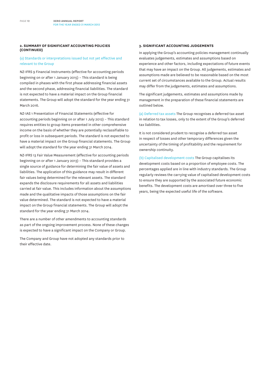### **2. SUMMARY OF SIGNIFICANT ACCOUNTING POLICIES (CONTINUED)**

### (u) Standards or interpretations issued but not yet effective and relevant to the Group

NZ-IFRS 9 Financial Instruments (effective for accounting periods beginning on or after 1 January 2015) – This standard is being compiled in phases with the first phase addressing financial assets and the second phase, addressing financial liabilities. The standard is not expected to have a material impact on the Group financial statements. The Group will adopt the standard for the year ending 31 March 2016.

NZ-IAS 1 Presentation of Financial Statements (effective for accounting periods beginning on or after 1 July 2012) – This standard requires entities to group items presented in other comprehensive income on the basis of whether they are potentially reclassifiable to profit or loss in subsequent periods. The standard is not expected to have a material impact on the Group financial statements. The Group will adopt the standard for the year ending 31 March 2014.

NZ-IFRS 13 Fair Value Measurement (effective for accounting periods beginning on or after 1 January 2013) – This standard provides a single source of guidance for determining the fair value of assets and liabilities. The application of this guidance may result in different fair values being determined for the relevant assets. The standard expands the disclosure requirements for all assets and liabilities carried at fair value. This includes information about the assumptions made and the qualitative impacts of those assumptions on the fair value determined. The standard is not expected to have a material impact on the Group financial statements. The Group will adopt the standard for the year ending 31 March 2014.

There are a number of other amendments to accounting standards as part of the ongoing improvement process. None of these changes is expected to have a significant impact on the Company or Group.

The Company and Group have not adopted any standards prior to their effective date.

#### **3. SIGNIFICANT ACCOUNTING JUDGEMENTS**

In applying the Group's accounting policies management continually evaluates judgements, estimates and assumptions based on experience and other factors, including expectations of future events that may have an impact on the Group. All judgements, estimates and assumptions made are believed to be reasonable based on the most current set of circumstances available to the Group. Actual results may differ from the judgements, estimates and assumptions.

The significant judgements, estimates and assumptions made by management in the preparation of these financial statements are outlined below.

(a) Deferred tax assets The Group recognises a deferred tax asset in relation to tax losses, only to the extent of the Group's deferred tax liabilities.

It is not considered prudent to recognise a deferred tax asset in respect of losses and other temporary differences given the uncertainty of the timing of profitability and the requirement for ownership continuity.

(b) Capitalised development costs The Group capitalises its development costs based on a proportion of employee costs. The percentages applied are in line with industry standards. The Group regularly reviews the carrying value of capitalised development costs to ensure they are supported by the associated future economic benefits. The development costs are amortised over three to five years, being the expected useful life of the software.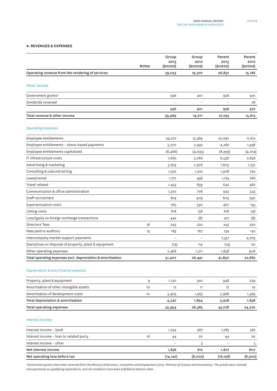#### **4. REVENUES & EXPENSES**

| Operating revenue from the rendering of services<br>26,857<br>15,186<br>39,033<br>19,370<br>Other income<br>936<br>936<br>401<br>401<br>Dividends received<br>26<br>936<br>401<br>936<br>427<br>Total revenue & other income<br>15,613<br>39,969<br>19,771<br>27,793<br><b>Operating expenses</b><br>Employee entitlements<br>11,612<br>29,272<br>15,389<br>22,097<br>Employee entitlements - share-based payments<br>4,262<br>1,938<br>5,270<br>2,492<br>Employee entitlements capitalised<br>(8, 466)<br>(4,014)<br>(4,035)<br>(8,393)<br>IT infrastructure costs<br>7,662<br>3,266<br>6,536<br>2,856<br>Advertising & marketing<br>5,623<br>2,976<br>1,603<br>1,231<br>Consulting & subcontracting<br>1,922<br>1,222<br>1,308<br>792<br>Lease/rental<br>766<br>958<br>1,771<br>1,174<br>839<br>642<br>487<br>1,453<br>Communication & office administration<br>1,370<br>778<br>942<br>543<br>824<br>409<br>605<br>290<br>Superannuation costs<br>765<br>467<br>330<br>139<br>Listing costs<br>618<br>618<br>158<br>158<br>Loss/(gain) on foreign exchange transactions<br>(8)<br>(8)<br>442<br>417<br>Directors' fees<br>16<br>243<br>220<br>220<br>243<br>Fees paid to auditors<br>183<br>167<br>15<br>134<br>142<br>Intercompany market support payments<br>7,551<br>4,703<br>(Gain)/loss on disposal of property, plant & equipment<br>(13)<br>(14)<br>119<br>121<br>Other operating expenses<br>2,468<br>1,658<br>1,211<br>906<br>Total operating expenses excl. depreciation & amortisation<br>22,882<br>41,850<br>26,491<br>51,407<br>Depreciation & amortisation expense<br>Property, plant & equipment<br>1,130<br>948<br>9<br>320<br>259<br>Amortisation of other intangible assets<br>10<br>12<br>11<br>12<br>10 <sup>°</sup><br>Amortisation of development costs<br>1,563<br>2,968<br>1,569<br>10<br>3,405<br>Total depreciation & amortisation<br>1,894<br>3,928<br>1,838<br>4,547<br>28,385<br>45,778<br>24,720<br>55,954<br>Interest income – bank<br>587<br>1,783<br>582<br>1,794<br>Interest income - loan to related party<br>16<br>20<br>44<br>44<br>20<br>Interest income - other<br>5<br>5<br>Net interest income<br>1,838<br>612<br>1,827<br>607<br>Net operating loss before tax<br>(8,002)<br>(14, 147)<br>(16, 158)<br>(8,500) |                          | <b>Notes</b> | Group<br>2013<br>(\$000S) | Group<br>2012<br>(\$000S) | Parent<br>2013<br>(\$000S) | Parent<br>2012<br>$(s$ ooos $)$ |
|------------------------------------------------------------------------------------------------------------------------------------------------------------------------------------------------------------------------------------------------------------------------------------------------------------------------------------------------------------------------------------------------------------------------------------------------------------------------------------------------------------------------------------------------------------------------------------------------------------------------------------------------------------------------------------------------------------------------------------------------------------------------------------------------------------------------------------------------------------------------------------------------------------------------------------------------------------------------------------------------------------------------------------------------------------------------------------------------------------------------------------------------------------------------------------------------------------------------------------------------------------------------------------------------------------------------------------------------------------------------------------------------------------------------------------------------------------------------------------------------------------------------------------------------------------------------------------------------------------------------------------------------------------------------------------------------------------------------------------------------------------------------------------------------------------------------------------------------------------------------------------------------------------------------------------------------------------------------------------------------------------------------------------------------------------------------------------------------------------------------------------------------------------------------------------------------------------------------------------------------------------|--------------------------|--------------|---------------------------|---------------------------|----------------------------|---------------------------------|
|                                                                                                                                                                                                                                                                                                                                                                                                                                                                                                                                                                                                                                                                                                                                                                                                                                                                                                                                                                                                                                                                                                                                                                                                                                                                                                                                                                                                                                                                                                                                                                                                                                                                                                                                                                                                                                                                                                                                                                                                                                                                                                                                                                                                                                                            |                          |              |                           |                           |                            |                                 |
|                                                                                                                                                                                                                                                                                                                                                                                                                                                                                                                                                                                                                                                                                                                                                                                                                                                                                                                                                                                                                                                                                                                                                                                                                                                                                                                                                                                                                                                                                                                                                                                                                                                                                                                                                                                                                                                                                                                                                                                                                                                                                                                                                                                                                                                            |                          |              |                           |                           |                            |                                 |
|                                                                                                                                                                                                                                                                                                                                                                                                                                                                                                                                                                                                                                                                                                                                                                                                                                                                                                                                                                                                                                                                                                                                                                                                                                                                                                                                                                                                                                                                                                                                                                                                                                                                                                                                                                                                                                                                                                                                                                                                                                                                                                                                                                                                                                                            | Government grants*       |              |                           |                           |                            |                                 |
|                                                                                                                                                                                                                                                                                                                                                                                                                                                                                                                                                                                                                                                                                                                                                                                                                                                                                                                                                                                                                                                                                                                                                                                                                                                                                                                                                                                                                                                                                                                                                                                                                                                                                                                                                                                                                                                                                                                                                                                                                                                                                                                                                                                                                                                            |                          |              |                           |                           |                            |                                 |
|                                                                                                                                                                                                                                                                                                                                                                                                                                                                                                                                                                                                                                                                                                                                                                                                                                                                                                                                                                                                                                                                                                                                                                                                                                                                                                                                                                                                                                                                                                                                                                                                                                                                                                                                                                                                                                                                                                                                                                                                                                                                                                                                                                                                                                                            |                          |              |                           |                           |                            |                                 |
|                                                                                                                                                                                                                                                                                                                                                                                                                                                                                                                                                                                                                                                                                                                                                                                                                                                                                                                                                                                                                                                                                                                                                                                                                                                                                                                                                                                                                                                                                                                                                                                                                                                                                                                                                                                                                                                                                                                                                                                                                                                                                                                                                                                                                                                            |                          |              |                           |                           |                            |                                 |
|                                                                                                                                                                                                                                                                                                                                                                                                                                                                                                                                                                                                                                                                                                                                                                                                                                                                                                                                                                                                                                                                                                                                                                                                                                                                                                                                                                                                                                                                                                                                                                                                                                                                                                                                                                                                                                                                                                                                                                                                                                                                                                                                                                                                                                                            |                          |              |                           |                           |                            |                                 |
|                                                                                                                                                                                                                                                                                                                                                                                                                                                                                                                                                                                                                                                                                                                                                                                                                                                                                                                                                                                                                                                                                                                                                                                                                                                                                                                                                                                                                                                                                                                                                                                                                                                                                                                                                                                                                                                                                                                                                                                                                                                                                                                                                                                                                                                            |                          |              |                           |                           |                            |                                 |
|                                                                                                                                                                                                                                                                                                                                                                                                                                                                                                                                                                                                                                                                                                                                                                                                                                                                                                                                                                                                                                                                                                                                                                                                                                                                                                                                                                                                                                                                                                                                                                                                                                                                                                                                                                                                                                                                                                                                                                                                                                                                                                                                                                                                                                                            |                          |              |                           |                           |                            |                                 |
|                                                                                                                                                                                                                                                                                                                                                                                                                                                                                                                                                                                                                                                                                                                                                                                                                                                                                                                                                                                                                                                                                                                                                                                                                                                                                                                                                                                                                                                                                                                                                                                                                                                                                                                                                                                                                                                                                                                                                                                                                                                                                                                                                                                                                                                            |                          |              |                           |                           |                            |                                 |
|                                                                                                                                                                                                                                                                                                                                                                                                                                                                                                                                                                                                                                                                                                                                                                                                                                                                                                                                                                                                                                                                                                                                                                                                                                                                                                                                                                                                                                                                                                                                                                                                                                                                                                                                                                                                                                                                                                                                                                                                                                                                                                                                                                                                                                                            |                          |              |                           |                           |                            |                                 |
|                                                                                                                                                                                                                                                                                                                                                                                                                                                                                                                                                                                                                                                                                                                                                                                                                                                                                                                                                                                                                                                                                                                                                                                                                                                                                                                                                                                                                                                                                                                                                                                                                                                                                                                                                                                                                                                                                                                                                                                                                                                                                                                                                                                                                                                            |                          |              |                           |                           |                            |                                 |
|                                                                                                                                                                                                                                                                                                                                                                                                                                                                                                                                                                                                                                                                                                                                                                                                                                                                                                                                                                                                                                                                                                                                                                                                                                                                                                                                                                                                                                                                                                                                                                                                                                                                                                                                                                                                                                                                                                                                                                                                                                                                                                                                                                                                                                                            |                          |              |                           |                           |                            |                                 |
|                                                                                                                                                                                                                                                                                                                                                                                                                                                                                                                                                                                                                                                                                                                                                                                                                                                                                                                                                                                                                                                                                                                                                                                                                                                                                                                                                                                                                                                                                                                                                                                                                                                                                                                                                                                                                                                                                                                                                                                                                                                                                                                                                                                                                                                            |                          |              |                           |                           |                            |                                 |
|                                                                                                                                                                                                                                                                                                                                                                                                                                                                                                                                                                                                                                                                                                                                                                                                                                                                                                                                                                                                                                                                                                                                                                                                                                                                                                                                                                                                                                                                                                                                                                                                                                                                                                                                                                                                                                                                                                                                                                                                                                                                                                                                                                                                                                                            | Travel related           |              |                           |                           |                            |                                 |
|                                                                                                                                                                                                                                                                                                                                                                                                                                                                                                                                                                                                                                                                                                                                                                                                                                                                                                                                                                                                                                                                                                                                                                                                                                                                                                                                                                                                                                                                                                                                                                                                                                                                                                                                                                                                                                                                                                                                                                                                                                                                                                                                                                                                                                                            |                          |              |                           |                           |                            |                                 |
|                                                                                                                                                                                                                                                                                                                                                                                                                                                                                                                                                                                                                                                                                                                                                                                                                                                                                                                                                                                                                                                                                                                                                                                                                                                                                                                                                                                                                                                                                                                                                                                                                                                                                                                                                                                                                                                                                                                                                                                                                                                                                                                                                                                                                                                            | Staff recruitment        |              |                           |                           |                            |                                 |
|                                                                                                                                                                                                                                                                                                                                                                                                                                                                                                                                                                                                                                                                                                                                                                                                                                                                                                                                                                                                                                                                                                                                                                                                                                                                                                                                                                                                                                                                                                                                                                                                                                                                                                                                                                                                                                                                                                                                                                                                                                                                                                                                                                                                                                                            |                          |              |                           |                           |                            |                                 |
|                                                                                                                                                                                                                                                                                                                                                                                                                                                                                                                                                                                                                                                                                                                                                                                                                                                                                                                                                                                                                                                                                                                                                                                                                                                                                                                                                                                                                                                                                                                                                                                                                                                                                                                                                                                                                                                                                                                                                                                                                                                                                                                                                                                                                                                            |                          |              |                           |                           |                            |                                 |
|                                                                                                                                                                                                                                                                                                                                                                                                                                                                                                                                                                                                                                                                                                                                                                                                                                                                                                                                                                                                                                                                                                                                                                                                                                                                                                                                                                                                                                                                                                                                                                                                                                                                                                                                                                                                                                                                                                                                                                                                                                                                                                                                                                                                                                                            |                          |              |                           |                           |                            |                                 |
|                                                                                                                                                                                                                                                                                                                                                                                                                                                                                                                                                                                                                                                                                                                                                                                                                                                                                                                                                                                                                                                                                                                                                                                                                                                                                                                                                                                                                                                                                                                                                                                                                                                                                                                                                                                                                                                                                                                                                                                                                                                                                                                                                                                                                                                            |                          |              |                           |                           |                            |                                 |
|                                                                                                                                                                                                                                                                                                                                                                                                                                                                                                                                                                                                                                                                                                                                                                                                                                                                                                                                                                                                                                                                                                                                                                                                                                                                                                                                                                                                                                                                                                                                                                                                                                                                                                                                                                                                                                                                                                                                                                                                                                                                                                                                                                                                                                                            |                          |              |                           |                           |                            |                                 |
|                                                                                                                                                                                                                                                                                                                                                                                                                                                                                                                                                                                                                                                                                                                                                                                                                                                                                                                                                                                                                                                                                                                                                                                                                                                                                                                                                                                                                                                                                                                                                                                                                                                                                                                                                                                                                                                                                                                                                                                                                                                                                                                                                                                                                                                            |                          |              |                           |                           |                            |                                 |
|                                                                                                                                                                                                                                                                                                                                                                                                                                                                                                                                                                                                                                                                                                                                                                                                                                                                                                                                                                                                                                                                                                                                                                                                                                                                                                                                                                                                                                                                                                                                                                                                                                                                                                                                                                                                                                                                                                                                                                                                                                                                                                                                                                                                                                                            |                          |              |                           |                           |                            |                                 |
|                                                                                                                                                                                                                                                                                                                                                                                                                                                                                                                                                                                                                                                                                                                                                                                                                                                                                                                                                                                                                                                                                                                                                                                                                                                                                                                                                                                                                                                                                                                                                                                                                                                                                                                                                                                                                                                                                                                                                                                                                                                                                                                                                                                                                                                            |                          |              |                           |                           |                            |                                 |
|                                                                                                                                                                                                                                                                                                                                                                                                                                                                                                                                                                                                                                                                                                                                                                                                                                                                                                                                                                                                                                                                                                                                                                                                                                                                                                                                                                                                                                                                                                                                                                                                                                                                                                                                                                                                                                                                                                                                                                                                                                                                                                                                                                                                                                                            |                          |              |                           |                           |                            |                                 |
|                                                                                                                                                                                                                                                                                                                                                                                                                                                                                                                                                                                                                                                                                                                                                                                                                                                                                                                                                                                                                                                                                                                                                                                                                                                                                                                                                                                                                                                                                                                                                                                                                                                                                                                                                                                                                                                                                                                                                                                                                                                                                                                                                                                                                                                            |                          |              |                           |                           |                            |                                 |
|                                                                                                                                                                                                                                                                                                                                                                                                                                                                                                                                                                                                                                                                                                                                                                                                                                                                                                                                                                                                                                                                                                                                                                                                                                                                                                                                                                                                                                                                                                                                                                                                                                                                                                                                                                                                                                                                                                                                                                                                                                                                                                                                                                                                                                                            |                          |              |                           |                           |                            |                                 |
|                                                                                                                                                                                                                                                                                                                                                                                                                                                                                                                                                                                                                                                                                                                                                                                                                                                                                                                                                                                                                                                                                                                                                                                                                                                                                                                                                                                                                                                                                                                                                                                                                                                                                                                                                                                                                                                                                                                                                                                                                                                                                                                                                                                                                                                            |                          |              |                           |                           |                            |                                 |
|                                                                                                                                                                                                                                                                                                                                                                                                                                                                                                                                                                                                                                                                                                                                                                                                                                                                                                                                                                                                                                                                                                                                                                                                                                                                                                                                                                                                                                                                                                                                                                                                                                                                                                                                                                                                                                                                                                                                                                                                                                                                                                                                                                                                                                                            |                          |              |                           |                           |                            |                                 |
|                                                                                                                                                                                                                                                                                                                                                                                                                                                                                                                                                                                                                                                                                                                                                                                                                                                                                                                                                                                                                                                                                                                                                                                                                                                                                                                                                                                                                                                                                                                                                                                                                                                                                                                                                                                                                                                                                                                                                                                                                                                                                                                                                                                                                                                            |                          |              |                           |                           |                            |                                 |
|                                                                                                                                                                                                                                                                                                                                                                                                                                                                                                                                                                                                                                                                                                                                                                                                                                                                                                                                                                                                                                                                                                                                                                                                                                                                                                                                                                                                                                                                                                                                                                                                                                                                                                                                                                                                                                                                                                                                                                                                                                                                                                                                                                                                                                                            | Total operating expenses |              |                           |                           |                            |                                 |
|                                                                                                                                                                                                                                                                                                                                                                                                                                                                                                                                                                                                                                                                                                                                                                                                                                                                                                                                                                                                                                                                                                                                                                                                                                                                                                                                                                                                                                                                                                                                                                                                                                                                                                                                                                                                                                                                                                                                                                                                                                                                                                                                                                                                                                                            | Interest income          |              |                           |                           |                            |                                 |
|                                                                                                                                                                                                                                                                                                                                                                                                                                                                                                                                                                                                                                                                                                                                                                                                                                                                                                                                                                                                                                                                                                                                                                                                                                                                                                                                                                                                                                                                                                                                                                                                                                                                                                                                                                                                                                                                                                                                                                                                                                                                                                                                                                                                                                                            |                          |              |                           |                           |                            |                                 |
|                                                                                                                                                                                                                                                                                                                                                                                                                                                                                                                                                                                                                                                                                                                                                                                                                                                                                                                                                                                                                                                                                                                                                                                                                                                                                                                                                                                                                                                                                                                                                                                                                                                                                                                                                                                                                                                                                                                                                                                                                                                                                                                                                                                                                                                            |                          |              |                           |                           |                            |                                 |
|                                                                                                                                                                                                                                                                                                                                                                                                                                                                                                                                                                                                                                                                                                                                                                                                                                                                                                                                                                                                                                                                                                                                                                                                                                                                                                                                                                                                                                                                                                                                                                                                                                                                                                                                                                                                                                                                                                                                                                                                                                                                                                                                                                                                                                                            |                          |              |                           |                           |                            |                                 |
|                                                                                                                                                                                                                                                                                                                                                                                                                                                                                                                                                                                                                                                                                                                                                                                                                                                                                                                                                                                                                                                                                                                                                                                                                                                                                                                                                                                                                                                                                                                                                                                                                                                                                                                                                                                                                                                                                                                                                                                                                                                                                                                                                                                                                                                            |                          |              |                           |                           |                            |                                 |
|                                                                                                                                                                                                                                                                                                                                                                                                                                                                                                                                                                                                                                                                                                                                                                                                                                                                                                                                                                                                                                                                                                                                                                                                                                                                                                                                                                                                                                                                                                                                                                                                                                                                                                                                                                                                                                                                                                                                                                                                                                                                                                                                                                                                                                                            |                          |              |                           |                           |                            |                                 |

*\*Government grants have been received from the Ministry of Business, Innovation and Employment (2012: Ministry of Science and Innovation). The grants were claimed retrospectively on qualifying expenditure, and all conditions have been fulfilled at balance date.*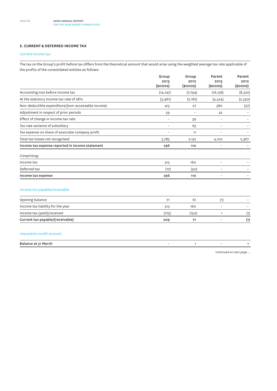### **5. CURRENT & DEFERRED INCOME TAX**

### Current income tax

The tax on the Group's profit before tax differs from the theoretical amount that would arise using the weighted average tax rate applicable of the profits of the consolidated entities as follows:

|                                                    | Group<br>2013   | Group<br>2012 | Parent<br>2013           | Parent<br>2012 |
|----------------------------------------------------|-----------------|---------------|--------------------------|----------------|
|                                                    | $(s$ ooos $)$   | $(s$ ooos $)$ | $(s$ ooos $)$            | $($ \$000s $)$ |
| Accounting loss before income tax                  | (14, 147)       | (7, 794)      | (16, 158)                | (8, 322)       |
| At the statutory income tax rate of 28%            | (3,961)         | (2, 182)      | (4, 524)                 | (2,330)        |
| Non-deductible expenditure/(non-accessable income) | 413             | 27            | 380                      | (37)           |
| Adjustment in respect of prior periods             | 59              |               | 42                       |                |
| Effect of change in income tax rate                | $\qquad \qquad$ | 39            | $\overline{\phantom{0}}$ |                |
| Tax rate variance of subsidiary                    | $\equiv$        | 63            | $\overline{\phantom{0}}$ |                |
| Tax expense on share of associate company profit   |                 | 11            |                          |                |
| Total tax losses not recognised                    | 3,785           | 2,152         | 4,102                    | 2,367          |
| Income tax expense reported in income statement    | 296             | 110           |                          |                |
| Comprising:                                        |                 |               |                          |                |
| Income tax                                         | 313             | 160           |                          |                |
| Deferred tax                                       | (17)            | (50)          |                          |                |
| Income tax expense                                 | 296             | 110           |                          |                |

## Income tax payable/receivable

| Opening balance                   |       | 6     |                          |     |
|-----------------------------------|-------|-------|--------------------------|-----|
| Income tax liability for the year | 313   | 160   | $\overline{\phantom{a}}$ |     |
| Income tax (paid)/received        | (175) | (150) |                          |     |
| Current tax payable/(receivable)  | 209   | 7     | $\overline{\phantom{a}}$ | (1) |

### Imputation credit account

| Balance at 31 March |  |  |
|---------------------|--|--|
|                     |  |  |

*Continued on next page ...*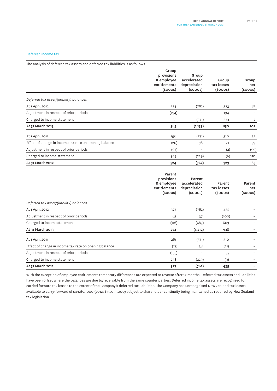### Deferred income tax

The analysis of deferred tax assets and deferred tax liabilities is as follows

|                                                        | Group<br>provisions<br>& employee<br>entitlements<br>$(s$ ooos $)$ | Group<br>accelerated<br>depreciation<br>$(s$ ooos $)$ | Group<br>tax losses<br>$(s$ ooos $)$ | Group<br>net<br>$(s$ ooos $)$ |
|--------------------------------------------------------|--------------------------------------------------------------------|-------------------------------------------------------|--------------------------------------|-------------------------------|
| Deferred tax asset/(liability) balances                |                                                                    |                                                       |                                      |                               |
| At 1 April 2012                                        | 524                                                                | (762)                                                 | 323                                  | 85                            |
| Adjustment in respect of prior periods                 | (194)                                                              |                                                       | 194                                  |                               |
| Charged to income statement                            | 55                                                                 | (371)                                                 | 333                                  | 17                            |
| At 31 March 2013                                       | 385                                                                | (1, 133)                                              | 850                                  | 102                           |
| At 1 April 2011                                        | 296                                                                | (571)                                                 | 310                                  | 35                            |
| Effect of change in income tax rate on opening balance | (20)                                                               | 38                                                    | 21                                   | 39                            |
| Adjustment in respect of prior periods                 | (97)                                                               | $\equiv$                                              | (2)                                  | (99)                          |
| Charged to income statement                            | 345                                                                | (229)                                                 | (6)                                  | 110                           |
| At 31 March 2012                                       | 524                                                                | (762)                                                 | 323                                  | 85                            |

|                                                        | Parent<br>provisions<br>& employee<br>entitlements<br>$(s$ ooos $)$ | Parent<br>accelerated<br>depreciation<br>$(s$ ooos $)$ | Parent<br>tax losses<br>$(s$ ooos $)$ | Parent<br>net<br>$(s$ ooos $)$ |
|--------------------------------------------------------|---------------------------------------------------------------------|--------------------------------------------------------|---------------------------------------|--------------------------------|
| Deferred tax asset/(liability) balances                |                                                                     |                                                        |                                       |                                |
| At 1 April 2012                                        | 327                                                                 | (762)                                                  | 435                                   |                                |
| Adjustment in respect of prior periods                 | 63                                                                  | 37                                                     | (100)                                 |                                |
| Charged to income statement                            | (116)                                                               | (487)                                                  | 603                                   |                                |
| At 31 March 2013                                       | 274                                                                 | (1, 212)                                               | 938                                   |                                |
| At 1 April 2011                                        | 261                                                                 | (571)                                                  | 310                                   |                                |
| Effect of change in income tax rate on opening balance | (17)                                                                | 38                                                     | (21)                                  |                                |
| Adjustment in respect of prior periods                 | (155)                                                               |                                                        | 155                                   |                                |
| Charged to income statement                            | 238                                                                 | (229)                                                  | (9)                                   |                                |
| At 31 March 2012                                       | 327                                                                 | (762)                                                  | 435                                   |                                |

With the exception of employee entitlements temporary differences are expected to reverse after 12 months. Deferred tax assets and liabilities have been offset where the balances are due to/receivable from the same counter parties. Deferred income tax assets are recognised for carried forward tax losses to the extent of the Company's deferred tax liabilities. The Company has unrecognised New Zealand tax losses available to carry-forward of \$49,657,000 (2012: \$35,051,000) subject to shareholder continuity being maintained as required by New Zealand tax legislation.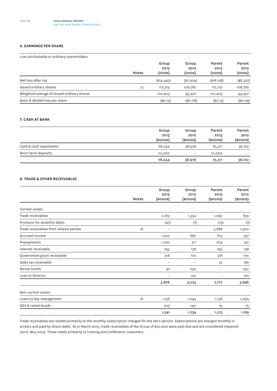### **6. EARNINGS PER SHARE**

Loss attributable to ordinary shareholders

|                                            | <b>Notes</b> | Group<br>2013<br>(ooos) | Group<br>2012<br>(ooos) | Parent<br>2013<br>(ooos) | Parent<br>2012<br>(ooos) |
|--------------------------------------------|--------------|-------------------------|-------------------------|--------------------------|--------------------------|
| Net loss after tax                         |              | $(*14, 443)$            | $(*7,904)$              | (\$16,158)               | (\$8,322)                |
| Issued ordinary shares                     | 13           | 117,219                 | 106,782                 | 117,219                  | 106,782                  |
| Weighted average of issued ordinary shares |              | 110,403                 | 93,472                  | 110,403                  | 93,472                   |
| Basic & diluted loss per share             |              | (\$O.13)                | (\$0.08)                | (\$O.15)                 | (\$0.09)                 |

### **7. CASH at bank**

|                         | Group<br>2013<br>$(s$ ooos $)$ | Group<br>2012<br>$(s$ ooos $)$ | Parent<br>2013<br>$(s$ ooos $)$ | Parent<br>2012<br>$(s$ ooos $)$ |
|-------------------------|--------------------------------|--------------------------------|---------------------------------|---------------------------------|
| Cash & cash equivalents | 68,244                         | 38,976                         | 65,511                          | 36,722                          |
| Short term deposits     | 10,000                         | $\qquad \qquad -$              | 10,000                          | $\overline{\phantom{0}}$        |
|                         | 78,244                         | 38,976                         | 75,511                          | 36,722                          |

### **8. TRADE & OTHER RECEIVABLES**

|                                        |              | Group                    | Group                    | Parent                   | Parent                |
|----------------------------------------|--------------|--------------------------|--------------------------|--------------------------|-----------------------|
|                                        | <b>Notes</b> | 2013<br>$(s$ ooos $)$    | 2012<br>$(s$ ooos $)$    | 2013<br>$(s$ ooos $)$    | 2012<br>$(s$ ooos $)$ |
| Current assets                         |              |                          |                          |                          |                       |
| Trade receivables                      |              | 2,163                    | 1,354                    | 1,092                    | 839                   |
| Provision for doubtful debts           |              | (47)                     | (7)                      | (15)                     | (7)                   |
| Trade receivables from related parties | 16           | $\overline{\phantom{m}}$ | $\overline{\phantom{a}}$ | 3,688                    | 1,500                 |
| Accrued income                         |              | 1,505                    | 687                      | 613                      | 357                   |
| Prepayments                            |              | 1,100                    | 311                      | 704                      | 147                   |
| Interest receivable                    |              | 745                      | 138                      | 745                      | 138                   |
| Government grant receivable            |              | 318                      | 170                      | 318                      | 170                   |
| Sales tax receivable                   |              | $\overline{\phantom{m}}$ | $\overline{\phantom{a}}$ | 32                       | 182                   |
| Rental bonds                           |              | 92                       | 250                      | $\qquad \qquad -$        | 250                   |
| Loan to Director                       |              | $\overline{\phantom{m}}$ | 120                      | $\overline{\phantom{m}}$ | 120                   |
|                                        |              | 5,876                    | 3,023                    | 7,177                    | 3,696                 |
| Non-current assets                     |              |                          |                          |                          |                       |
| Loans to key management                | 16           | 1,138                    | 1,094                    | 1,138                    | 1,094                 |
| NZX & rental bonds                     |              | 203                      | 140                      | 75                       | 75                    |
|                                        |              | 1,341                    | 1,234                    | 1,213                    | 1,169                 |

Trade receivables are related primarily to the monthly subscription charged for the Xero service. Subscriptions are charged monthly in arrears and paid by direct debit. At 31 March 2013, trade receivables of the Group of \$72,000 were past due and are considered impaired (2012: \$64,000). These relate primarily to training and conference customers.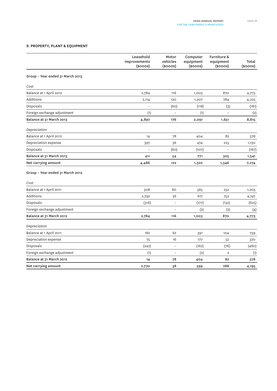### **9. PROPERTY, PLANT & EQUIPMENT**

|                                  | Leasehold<br>improvements<br>$(s$ ooos $)$ | Motor<br>vehicles<br>(\$000S) | Computer<br>equipment<br>$(s$ ooos $)$ | Furniture &<br>equipment<br>$(s$ ooos $)$ | Total<br>(\$000S) |
|----------------------------------|--------------------------------------------|-------------------------------|----------------------------------------|-------------------------------------------|-------------------|
| Group - Year ended 31 March 2013 |                                            |                               |                                        |                                           |                   |
| Cost                             |                                            |                               |                                        |                                           |                   |
| Balance at 1 April 2012          | 2,784                                      | 116                           | 1,003                                  | 870                                       | 4,773             |
| Additions                        | 2,114                                      | 120                           | 1,207                                  | 784                                       | 4,225             |
| Disposals                        |                                            | (60)                          | (118)                                  | (3)                                       | (181)             |
| Foreign exchange adjustment      | (1)                                        | $\overline{a}$                | (1)                                    | $\overline{a}$                            | (2)               |
| Balance at 31 March 2013         | 4,897                                      | 176                           | 2,091                                  | 1,651                                     | 8,815             |
| Depreciation                     |                                            |                               |                                        |                                           |                   |
| Balance at 1 April 2012          | 14                                         | 78                            | 404                                    | 82                                        | 578               |
| Depreciation expense             | 397                                        | 36                            | 474                                    | 223                                       | 1,130             |
| Disposals                        | $\overline{a}$                             | (60)                          | (107)                                  | $\overline{a}$                            | (167)             |
| Balance at 31 March 2013         | 411                                        | 54                            | 771                                    | 305                                       | 1,541             |
| Net carrying amount              | 4,486                                      | 122                           | 1,320                                  | 1,346                                     | 7,274             |
| Group - Year ended 31 March 2012 |                                            |                               |                                        |                                           |                   |
| Cost                             |                                            |                               |                                        |                                           |                   |
| Balance at 1 April 2011          | 308                                        | 80                            | 565                                    | 252                                       | 1,205             |
| Additions                        | 2,792                                      | 36                            | 617                                    | 752                                       | 4,197             |
| Disposals                        | (316)                                      | $\overline{a}$                | (177)                                  | (132)                                     | (625)             |
| Foreign exchange adjustment      |                                            |                               | (2)                                    | (2)                                       | (4)               |
| Balance at 31 March 2012         | 2,784                                      | 116                           | 1,003                                  | 870                                       | 4,773             |
| Depreciation                     |                                            |                               |                                        |                                           |                   |
| Balance at 1 April 2011          | 182                                        | 62                            | 391                                    | 104                                       | 739               |
| Depreciation expense             | 75                                         | 16                            | 177                                    | 52                                        | 320               |
| Disposals                        | (242)                                      | $\overline{a}$                | (162)                                  | (76)                                      | (480)             |
| Foreign exchange adjustment      | (1)                                        | $\overline{a}$                | (2)                                    | $\overline{2}$                            | (1)               |
| Balance at 31 March 2012         | 14                                         | 78                            | 404                                    | 82                                        | 578               |
| Net carrying amount              | 2,770                                      | 38                            | 599                                    | 788                                       | 4,195             |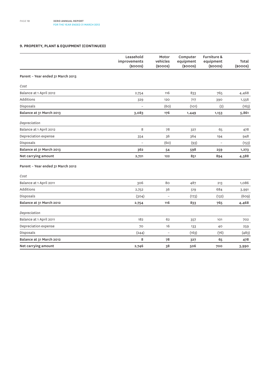### **9. PROPERTY, PLANT & EQUIPMENT (continued)**

|                                   | Leasehold<br>improvements<br>$(s$ ooos $)$ | Motor<br>vehicles<br>$(s$ ooos $)$ | Computer<br>equipment<br>$(s$ ooos $)$ | Furniture &<br>equipment<br>$(s$ ooos $)$ | Total<br>$(s$ ooos $)$ |
|-----------------------------------|--------------------------------------------|------------------------------------|----------------------------------------|-------------------------------------------|------------------------|
| Parent - Year ended 31 March 2013 |                                            |                                    |                                        |                                           |                        |
| Cost                              |                                            |                                    |                                        |                                           |                        |
| Balance at 1 April 2012           | 2,754                                      | 116                                | 833                                    | 765                                       | 4,468                  |
| <b>Additions</b>                  | 329                                        | 120                                | 717                                    | 390                                       | 1,556                  |
| Disposals                         |                                            | (60)                               | (101)                                  | (2)                                       | (163)                  |
| Balance at 31 March 2013          | 3,083                                      | 176                                | 1,449                                  | 1,153                                     | 5,861                  |
| Depreciation                      |                                            |                                    |                                        |                                           |                        |
| Balance at 1 April 2012           | 8                                          | 78                                 | 327                                    | 65                                        | 478                    |
| Depreciation expense              | 354                                        | 36                                 | 364                                    | 194                                       | 948                    |
| Disposals                         |                                            | (60)                               | (93)                                   | $\overline{a}$                            | (153)                  |
| Balance at 31 March 2013          | 362                                        | 54                                 | 598                                    | 259                                       | 1,273                  |
| Net carrying amount               | 2,721                                      | 122                                | 851                                    | 894                                       | 4,588                  |
| Parent - Year ended 31 March 2012 |                                            |                                    |                                        |                                           |                        |
| Cost                              |                                            |                                    |                                        |                                           |                        |
| Balance at 1 April 2011           | 306                                        | 80                                 | 487                                    | 213                                       | 1,086                  |
| Additions                         | 2,752                                      | 36                                 | 519                                    | 684                                       | 3,991                  |
| Disposals                         | (304)                                      | $\overline{\phantom{0}}$           | (173)                                  | (132)                                     | (609)                  |
| Balance at 31 March 2012          | 2,754                                      | 116                                | 833                                    | 765                                       | 4,468                  |
| Depreciation                      |                                            |                                    |                                        |                                           |                        |
| Balance at 1 April 2011           | 182                                        | 62                                 | 357                                    | 101                                       | 702                    |
| Depreciation expense              | 70                                         | 16                                 | 133                                    | 40                                        | 259                    |
| Disposals                         | (244)                                      | $\qquad \qquad -$                  | (163)                                  | (76)                                      | (483)                  |
| Balance at 31 March 2012          | 8                                          | 78                                 | 327                                    | 65                                        | 478                    |
| Net carrying amount               | 2,746                                      | 38                                 | 506                                    | 700                                       | 3,990                  |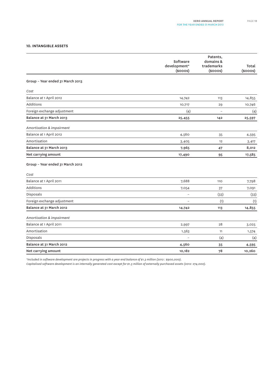### **10. INTANGIBLE ASSETS**

|                                  | Software<br>development*<br>$(s$ ooos $)$ | Patents,<br>domains &<br>trademarks<br>$(s$ ooos $)$ | Total<br>$(s$ ooos $)$ |
|----------------------------------|-------------------------------------------|------------------------------------------------------|------------------------|
| Group - Year ended 31 March 2013 |                                           |                                                      |                        |
| Cost                             |                                           |                                                      |                        |
| Balance at 1 April 2012          | 14,742                                    | 113                                                  | 14,855                 |
| Additions                        | 10,717                                    | 29                                                   | 10,746                 |
| Foreign exchange adjustment      | (4)                                       | $\overline{\phantom{0}}$                             |                        |
| Balance at 31 March 2013         | 25,455                                    | 142                                                  | (4)<br>25,597          |
|                                  |                                           |                                                      |                        |
| Amortisation & impairment        |                                           |                                                      |                        |
| Balance at 1 April 2012          | 4,560                                     | 35                                                   | 4,595                  |
| Amortisation                     | 3,405                                     | 12                                                   | 3,417                  |
| Balance at 31 March 2013         | 7,965                                     | 47                                                   | 8,012                  |
| Net carrying amount              | 17,490                                    | 95                                                   | 17,585                 |
| Group - Year ended 31 March 2012 |                                           |                                                      |                        |
| Cost                             |                                           |                                                      |                        |
| Balance at 1 April 2011          | 7,688                                     | <b>110</b>                                           | 7,798                  |
| <b>Additions</b>                 | 7,054                                     | 37                                                   | 7,091                  |
| Disposals                        | $\overline{a}$                            | (33)                                                 | (33)                   |
| Foreign exchange adjustment      | $\overline{\phantom{0}}$                  | (1)                                                  | (1)                    |
| Balance at 31 March 2012         | 14,742                                    | 113                                                  | 14,855                 |
| Amortisation & impairment        |                                           |                                                      |                        |
| Balance at 1 April 2011          | 2,997                                     | 28                                                   | 3,025                  |
| Amortisation                     | 1,563                                     | 11                                                   | 1,574                  |
| Disposals                        |                                           | (4)                                                  | (4)                    |
| Balance at 31 March 2012         | 4,560                                     | 35                                                   | 4,595                  |
| Net carrying amount              | 10,182                                    | 78                                                   | 10,260                 |
|                                  |                                           |                                                      |                        |

*\*Included in software development are projects in progress with a year end balance of \$1.3 million (2012 : \$900,000).*

*Capitalised software development is an internally generated cost except for \$1.3 million of externally purchased assets (2012: 274,000).*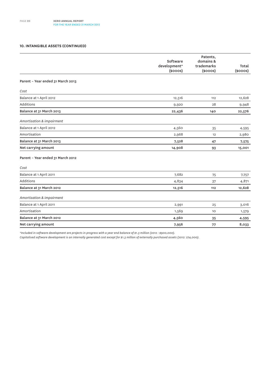### **10. INTANGIBLE ASSETS (continued)**

|                                   | Software<br>development*<br>$(s$ ooos $)$ | Patents,<br>domains &<br>trademarks<br>$(s$ ooos $)$ | Total<br>$(s$ ooos $)$ |
|-----------------------------------|-------------------------------------------|------------------------------------------------------|------------------------|
| Parent - Year ended 31 March 2013 |                                           |                                                      |                        |
| Cost                              |                                           |                                                      |                        |
| Balance at 1 April 2012           | 12,516                                    | 112                                                  | 12,628                 |
| <b>Additions</b>                  | 9,920                                     | 28                                                   | 9,948                  |
| Balance at 31 March 2013          | 22,436                                    | 140                                                  | 22,576                 |
| Amortisation & impairment         |                                           |                                                      |                        |
| Balance at 1 April 2012           | 4,560                                     | 35                                                   | 4,595                  |
| Amortisation                      | 2,968                                     | 12                                                   | 2,980                  |
| Balance at 31 March 2013          | 7,528                                     | 47                                                   | 7,575                  |
| Net carrying amount               | 14,908                                    | 93                                                   | 15,001                 |
| Parent - Year ended 31 March 2012 |                                           |                                                      |                        |
| Cost                              |                                           |                                                      |                        |
| Balance at 1 April 2011           | 7,682                                     | 75                                                   | 7,757                  |
| <b>Additions</b>                  | 4,834                                     | 37                                                   | 4,871                  |
| Balance at 31 March 2012          | 12,516                                    | 112                                                  | 12,628                 |
| Amortisation & impairment         |                                           |                                                      |                        |
| Balance at 1 April 2011           | 2,991                                     | 25                                                   | 3,016                  |
| Amortisation                      | 1,569                                     | 10                                                   | 1,579                  |
| Balance at 31 March 2012          | 4,560                                     | 35                                                   | 4,595                  |
| Net carrying amount               | 7,956                                     | 77                                                   | 8,033                  |

*\*Included in software development are projects in progress with a year end balance of \$1.3 million (2012 : \$900,000).*

*Capitalised software development is an internally generated cost except for \$1.3 million of externally purchased assets (2012: 274,000).*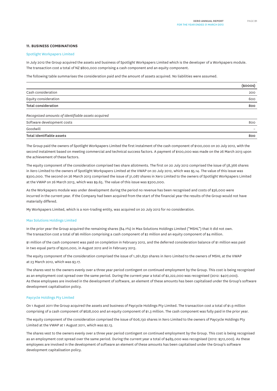#### **11. BUSINESS COMBINATIONS**

#### Spotlight Workpapers Limited

In July 2012 the Group acquired the assets and business of Spotlight Workpapers Limited which is the developer of a Workpapers module. The transaction cost a total of NZ \$800,000 comprising a cash component and an equity component.

The following table summarises the consideration paid and the amount of assets acquired. No liabilities were assumed.

|                                                    | $(s$ ooos $)$ |
|----------------------------------------------------|---------------|
| Cash consideration                                 | 200           |
| Equity consideration                               | 600           |
| <b>Total consideration</b>                         | 800           |
| Recognised amounts of identifiable assets acquired |               |
| Software development costs                         | 800           |
| Goodwill                                           |               |
| Total identifiable assets                          | 800           |

The Group paid the owners of Spotlight Workpapers Limited the first instalment of the cash component of \$100,000 on 20 July 2012, with the second instalment based on meeting commercial and technical success factors. A payment of \$100,000 was made on the 26 March 2013 upon the achievement of these factors.

The equity component of the consideration comprised two share allotments. The first on 20 July 2012 comprised the issue of 58,366 shares in Xero Limited to the owners of Spotlight Workpapers Limited at the VWAP on 20 July 2012, which was \$5.14. The value of this issue was \$300,000. The second on 26 March 2013 comprised the issue of 31,087 shares in Xero Limited to the owners of Spotlight Workpapers Limited at the VWAP on 26 March 2013, which was \$9.65. The value of this issue was \$300,000.

As the Workpapers module was under development during the period no revenue has been recognised and costs of \$36,000 were incurred in the current year. If the Company had been acquired from the start of the financial year the results of the Group would not have materially differed.

My Workpapers Limited, which is a non-trading entity, was acquired on 20 July 2012 for no consideration.

#### Max Solutions Holdings Limited

In the prior year the Group acquired the remaining shares (84.1%) in Max Solutions Holdings Limited ("MSHL") that it did not own. The transaction cost a total of \$6 million comprising a cash component of \$2 million and an equity component of \$4 million.

\$1 million of the cash component was paid on completion in February 2012, and the deferred consideration balance of \$1 million was paid in two equal parts of \$500,000, in August 2012 and in February 2013.

The equity component of the consideration comprised the issue of 1,261,830 shares in Xero Limited to the owners of MSHL at the VWAP at 23 March 2012, which was \$3.17.

The shares vest to the owners evenly over a three year period contingent on continued employment by the Group. This cost is being recognised as an employment cost spread over the same period. During the current year a total of \$2,222,000 was recognised (2012: \$407,000). As these employees are involved in the development of software, an element of these amounts has been capitalised under the Group's software development capitalisation policy.

### Paycycle Holdings Pty Limited

On 1 August 2011 the Group acquired the assets and business of Paycycle Holdings Pty Limited. The transaction cost a total of \$1.9 million comprising of a cash component of \$628,000 and an equity component of \$1.3 million. The cash component was fully paid in the prior year.

The equity component of the consideration comprised the issue of 606,130 shares in Xero Limited to the owners of Paycycle Holdings Pty Limited at the VWAP at 1 August 2011, which was \$2.13.

The shares vest to the owners evenly over a three year period contingent on continued employment by the Group. This cost is being recognised as an employment cost spread over the same period. During the current year a total of \$489,000 was recognised (2012: \$512,000). As these employees are involved in the development of software an element of these amounts has been capitalised under the Group's software development capitalisation policy.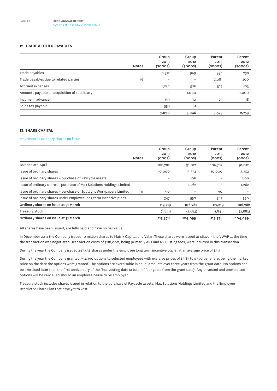#### **12. TRADE & OTHER PAYABLES**

|                                              | <b>Notes</b> | Group<br>2013<br>$(s$ ooos $)$ | Group<br>2012<br>$(s$ ooos $)$ | Parent<br>2013<br>$(s$ ooos $)$ | Parent<br>2012<br>$($ \$000s $)$ |
|----------------------------------------------|--------------|--------------------------------|--------------------------------|---------------------------------|----------------------------------|
| Trade payables                               |              | 1,312                          | 969                            | 936                             | 738                              |
| Trade payables due to related parties        | 16           | $\overline{\phantom{0}}$       | $\qquad \qquad -$              | 2,081                           | 200                              |
| Accrued expenses                             |              | 1,061                          | 926                            | 527                             | 803                              |
| Amounts payable on acquisition of subsidiary |              | $\overline{\phantom{m}}$       | 1,000                          |                                 | 1,000                            |
| Income in advance                            |              | 159                            | 90                             | 29                              | 18                               |
| Sales tax payable                            |              | 558                            | 61                             | $\overline{\phantom{0}}$        |                                  |
|                                              |              | 3,090                          | 3,046                          | 3,573                           | 2,759                            |

### **13. SHARE CAPITAL**

### Movement in ordinary shares on issue

|                                                                       | <b>Notes</b> | Group<br>2013<br>(ooos)  | Group<br>2012<br>(ooos)  | Parent<br>2013<br>(000s) | Parent<br>2012<br>(ooos) |
|-----------------------------------------------------------------------|--------------|--------------------------|--------------------------|--------------------------|--------------------------|
| Balance at 1 April                                                    |              | 106,782                  | 91,012                   | 106,782                  | 91,012                   |
|                                                                       |              |                          |                          |                          |                          |
| Issue of ordinary shares                                              |              | 10,000                   | 13,352                   | 10,000                   | 13,352                   |
| Issue of ordinary shares - purchase of Paycycle assets                |              |                          | 606                      |                          | 606                      |
| Issue of ordinary shares - purchase of Max Solutions Holdings Limited |              | $\overline{\phantom{m}}$ | 1,262                    | -                        | 1,262                    |
| Issue of ordinary shares - purchase of Spotlight Workpapers Limited   | 11           | 90                       | $\overline{\phantom{0}}$ | 90                       |                          |
| Issue of ordinary shares under employee long term incentive plans     |              | 347                      | 550                      | 347                      | 550                      |
| Ordinary shares on issue at 31 March                                  |              | 117,219                  | 106,782                  | 117,219                  | 106,782                  |
| Treasury stock                                                        |              | (1, 841)                 | (2,683)                  | (1, 841)                 | (2,683)                  |
| Ordinary shares on issue at 31 March                                  |              | 115,378                  | 104,099                  | 115,378                  | 104,099                  |

All shares have been issued, are fully paid and have no par value.

In December 2012 the Company issued 10 million shares to Matrix Capital and Valar. These shares were issued at \$6.00 - the VWAP at the time the transaction was negotiated. Transaction costs of \$118,000, being primarily ASX and NZX listing fees, were incurred in this transaction.

During the year the Company issued 347,438 shares under the employee long term incentive plans, at an average price of \$5.31.

During the year the Company granted 392,390 options to selected employees with exercise prices of \$3.83 to \$7.70 per share, being the market price on the date the options were granted. The options are exercisable in equal amounts over three years from the grant date. No options can be exercised later than the first anniversary of the final vesting date (a total of four years from the grant date). Any unvested and unexercised options will be cancelled should an employee cease to be employed.

Treasury stock includes shares issued in relation to the purchase of Paycycle assets, Max Solutions Holdings Limited and the Employee Restricted Share Plan that have yet to vest.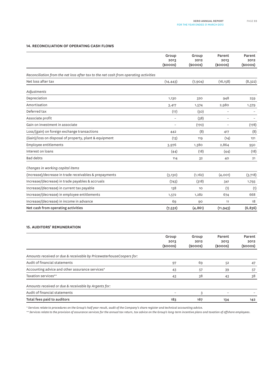### **14. RECONCILIATION OF OPERATING CASH FLOWS**

|                                                                                      | Group<br>2013<br>$(s$ ooos $)$ | Group<br>2012<br>$(s$ ooos $)$ | Parent<br>2013<br>$(s$ ooos $)$ | Parent<br>2012<br>$(s$ ooos $)$ |
|--------------------------------------------------------------------------------------|--------------------------------|--------------------------------|---------------------------------|---------------------------------|
| Reconciliation from the net loss after tax to the net cash from operating activities |                                |                                |                                 |                                 |
| Net loss after tax                                                                   | (14, 443)                      | (7,904)                        | (16, 158)                       | (8,322)                         |
| Adjustments                                                                          |                                |                                |                                 |                                 |
| Depreciation                                                                         | 1,130                          | 320                            | 948                             | 259                             |
| Amortisation                                                                         | 3,417                          | 1,574                          | 2,980                           | 1,579                           |
| Deferred tax                                                                         | (17)                           | (50)                           | $\overline{\phantom{a}}$        |                                 |
| Associate profit                                                                     | $\overline{\phantom{0}}$       | (38)                           | $\overline{\phantom{0}}$        |                                 |
| Gain on investment in associate                                                      | $\overline{\phantom{a}}$       | (170)                          | $\qquad \qquad -$               | (178)                           |
| Loss/(gain) on foreign exchange transactions                                         | 442                            | (8)                            | 417                             | (8)                             |
| (Gain)/loss on disposal of property, plant & equipment                               | (13)                           | 119                            | (14)                            | 121                             |
| <b>Employee entitlements</b>                                                         | 3,976                          | 1,380                          | 2,864                           | 950                             |
| Interest on loans                                                                    | (44)                           | (18)                           | (44)                            | (18)                            |
| <b>Bad debts</b>                                                                     | 114                            | 32                             | 40                              | 21                              |
| Changes in working capital items                                                     |                                |                                |                                 |                                 |
| (Increase)/decrease in trade receivables & prepayments                               | (3, 130)                       | (1,162)                        | (4,001)                         | (3,718)                         |
| Increase/(decrease) in trade payables & accruals                                     | (743)                          | (318)                          | 341                             | 1,793                           |
| Increase/(decrease) in current tax payable                                           | 138                            | 10                             | (1)                             | (1)                             |
| Increase/(decrease) in employee entitlements                                         | 1,572                          | 1,282                          | 674                             | 668                             |
| Increase/(decrease) in income in advance                                             | 69                             | 90                             | 11                              | 18                              |
| Net cash from operating activities                                                   | (7,532)                        | (4, 861)                       | (11, 943)                       | (6,836)                         |

### **15. AUDITORS' REMUNERATION**

|                                                                     | Group<br>2013<br>$(s$ ooos $)$ | Group<br>2012<br>$(s$ ooos $)$ | Parent<br>2013<br>$(s$ ooos $)$ | Parent<br>2012<br>$(s$ ooos $)$ |
|---------------------------------------------------------------------|--------------------------------|--------------------------------|---------------------------------|---------------------------------|
| Amounts received or due & receivable by PricewaterhouseCoopers for: |                                |                                |                                 |                                 |
| Audit of financial statements                                       | 97                             | 69                             | 52                              | 47                              |
| Accounting advice and other assurance services*                     | 43                             | 57                             | 39                              | 57                              |
| Taxation services**                                                 | 43                             | 38                             | 43                              | 38                              |
| Amounts received or due & receivable by Argents for:                |                                |                                |                                 |                                 |
| Audit of financial statements                                       |                                | 3                              |                                 |                                 |
| Total fees paid to auditors                                         | 183                            | 167                            | 134                             | 142                             |

*\* Services relate to procedures on the Group's half year result, audit of the Company's share register and technical accounting advice.*

*\*\* Services relate to the provision of assurance services for the annual tax return, tax advice on the Group's long-term incentive plans and taxation of offshore employees.*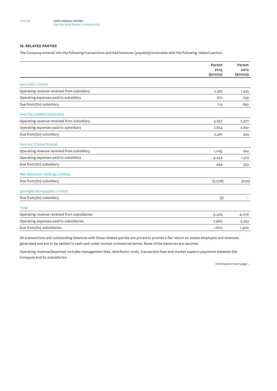### **16. RELATED PARTIES**

The Company entered into the following transactions and had balances (payable)/receivable with the following related parties:

|                                              | Parent                | Parent             |
|----------------------------------------------|-----------------------|--------------------|
|                                              | 2013<br>$(s$ ooos $)$ | 2012<br>$(s$ ooos) |
| Xero (UK) Limited                            |                       |                    |
| Operating revenue received from subsidiary   | 2,585                 | 1,435              |
| Operating expenses paid to subsidiary        | 872                   | 739                |
| Due from/(to) subsidiary                     | 713                   | 693                |
| Xero Pty Limited (Australia)                 |                       |                    |
| Operating revenue received from subsidiary   | 5,657                 | 2,377              |
| Operating expenses paid to subsidiary        | 2,654                 | 2,691              |
| Due from/(to) subsidiary                     | 2,481                 | 474                |
| Xero Inc (United States)                     |                       |                    |
| Operating revenue received from subsidiary   | 1,063                 | 264                |
| Operating expenses paid to subsidiary        | 4,434                 | 1,313              |
| Due from/(to) subsidiary                     | 494                   | 333                |
| <b>Max Solutions Holdings Limited</b>        |                       |                    |
| Due from/(to) subsidiary                     | (2,078)               | (200)              |
| <b>Spotlight Workpapers Limited</b>          |                       |                    |
| Due from/(to) subsidiary                     | (3)                   |                    |
| <b>Total</b>                                 |                       |                    |
| Operating revenue received from subsidiaries | 9,305                 | 4,076              |
| Operating expenses paid to subsidiaries      | 7,960                 | 4,743              |
| Due from/(to) subsidiaries                   | 1,607                 | 1,300              |

All transactions and outstanding balances with these related parties are priced to provide a fair return on assets employed and revenues generated and are to be settled in cash and under normal commercial terms. None of the balances are secured.

Operating revenue/(expense) includes management fees, distributor costs, transaction fees and market support payments between the Company and its subsidiaries.

*Continued on next page ...*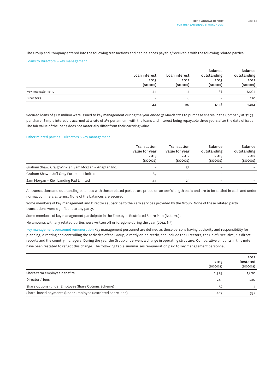The Group and Company entered into the following transactions and had balances payable/receivable with the following related parties:

Loans to Directors & key management

|                | Loan interest<br>2013<br>$(s$ ooos $)$ | Loan interest<br>2012<br>$(s$ ooos $)$ | Balance<br>outstanding<br>2013<br>$(s$ ooos $)$ | Balance<br>outstanding<br>2012<br>$(s$ ooos $)$ |
|----------------|----------------------------------------|----------------------------------------|-------------------------------------------------|-------------------------------------------------|
| Key management | 44                                     | 14                                     | 1,138                                           | 1,094                                           |
| Directors      | $\qquad \qquad -$                      | 6                                      | $\overline{\phantom{a}}$                        | 120                                             |
|                | 44                                     | 20                                     | 1,138                                           | 1,214                                           |

Secured loans of \$1.0 million were issued to key management during the year ended 31 March 2012 to purchase shares in the Company at \$2.75 per share. Simple interest is accrued at a rate of 4% per annum, with the loans and interest being repayable three years after the date of issue. The fair value of the loans does not materially differ from their carrying value.

### Other related parties – Directors & key management

|                                                       | Transaction<br>value for year<br>2013<br>$(s$ ooos $)$ | Transaction<br>value for year<br>2012<br>(\$000S) | Balance<br>outstanding<br>2013<br>$(s$ ooos $)$ | Balance<br>outstanding<br>2012<br>$(s$ ooos $)$ |
|-------------------------------------------------------|--------------------------------------------------------|---------------------------------------------------|-------------------------------------------------|-------------------------------------------------|
| Graham Shaw, Craig Winkler, Sam Morgan - Anaplan Inc. |                                                        | 55                                                | $\qquad \qquad$                                 |                                                 |
| Graham Shaw - Jeff Gray European Limited              | 87                                                     | $\qquad \qquad$                                   |                                                 |                                                 |
| Sam Morgan - Kiwi Landing Pad Limited                 | 44                                                     | 23                                                |                                                 |                                                 |

All transactions and outstanding balances with these related parties are priced on an arm's length basis and are to be settled in cash and under normal commercial terms. None of the balances are secured.

Some members of key management and Directors subscribe to the Xero services provided by the Group. None of these related party transactions were significant to any party.

Some members of key management participate in the Employee Restricted Share Plan (Note 20).

No amounts with any related parties were written off or foregone during the year (2012: Nil).

Key management personnel remuneration Key management personnel are defined as those persons having authority and responsibility for planning, directing and controlling the activities of the Group, directly or indirectly, and include the Directors, the Chief Executive, his direct reports and the country managers. During the year the Group underwent a change in operating structure. Comparative amounts in this note have been restated to reflect this change. The following table summarises remuneration paid to key management personnel.

|                                                             | 2013<br>$(s$ ooos $)$ | 2012<br>Restated<br>$(s$ ooos $)$ |
|-------------------------------------------------------------|-----------------------|-----------------------------------|
| Short-term employee benefits                                | 2,329                 | 1,670                             |
| Directors' fees                                             | 243                   | 220                               |
| Share options (under Employee Share Options Scheme)         | 52                    | 14                                |
| Share-based payments (under Employee Restricted Share Plan) | 467                   | 332                               |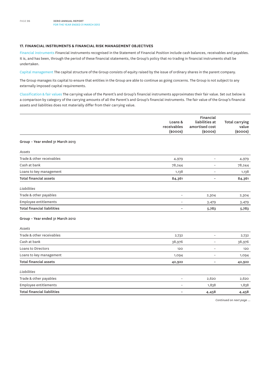### **17. FINANCIAL INSTRUMENTS & FINANCIAL RISK MANAGEMENT OBJECTIVES**

Financial instruments Financial instruments recognised in the Statement of Financial Position include cash balances, receivables and payables. It is, and has been, through the period of these financial statements, the Group's policy that no trading in financial instruments shall be undertaken.

Capital management The capital structure of the Group consists of equity raised by the issue of ordinary shares in the parent company.

The Group manages its capital to ensure that entities in the Group are able to continue as going concerns. The Group is not subject to any externally imposed capital requirements.

Classification & fair values The carrying value of the Parent's and Group's financial instruments approximates their fair value. Set out below is a comparison by category of the carrying amounts of all the Parent's and Group's financial instruments. The fair value of the Group's financial assets and liabilities does not materially differ from their carrying value.

|                                    | Loans &<br>receivables<br>$(s$ ooos $)$ | Financial<br>liabilities at<br>amortised cost<br>$(s$ ooos $)$ | <b>Total carrying</b><br>value<br>$(s$ ooos $)$ |
|------------------------------------|-----------------------------------------|----------------------------------------------------------------|-------------------------------------------------|
| Group - Year ended 31 March 2013   |                                         |                                                                |                                                 |
| Assets                             |                                         |                                                                |                                                 |
| Trade & other receivables          | 4,979                                   | $\qquad \qquad -$                                              | 4,979                                           |
| Cash at bank                       | 78,244                                  | $\qquad \qquad -$                                              | 78,244                                          |
| Loans to key management            | 1,138                                   | $\overline{a}$                                                 | 1,138                                           |
| <b>Total financial assets</b>      | 84,361                                  | $\overline{\phantom{a}}$                                       | 84,361                                          |
| Liabilities                        |                                         |                                                                |                                                 |
| Trade & other payables             | $\overline{a}$                          | 2,304                                                          | 2,304                                           |
| Employee entitlements              | $\qquad \qquad -$                       | 3,479                                                          | 3,479                                           |
| <b>Total financial liabilities</b> |                                         | 5,783                                                          | 5,783                                           |
| Group - Year ended 31 March 2012   |                                         |                                                                |                                                 |
| Assets                             |                                         |                                                                |                                                 |
| Trade & other receivables          | 2,732                                   | $\overline{\phantom{a}}$                                       | 2,732                                           |
| Cash at bank                       | 38,976                                  | $\qquad \qquad -$                                              | 38,976                                          |
| Loans to Directors                 | 120                                     | $\qquad \qquad -$                                              | 120                                             |
| Loans to key management            | 1,094                                   | $\qquad \qquad -$                                              | 1,094                                           |
| <b>Total financial assets</b>      | 42,922                                  | $\overline{\phantom{a}}$                                       | 42,922                                          |
| Liabilities                        |                                         |                                                                |                                                 |
| Trade & other payables             | $\overline{\phantom{0}}$                | 2,620                                                          | 2,620                                           |
| Employee entitlements              | $\qquad \qquad -$                       | 1,838                                                          | 1,838                                           |
| <b>Total financial liabilities</b> |                                         | 4,458                                                          | 4,458                                           |
|                                    |                                         |                                                                | Continued on next page                          |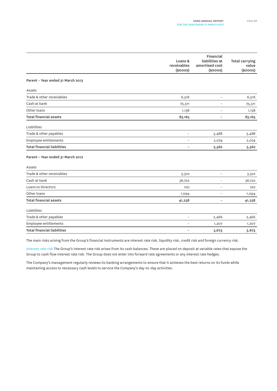|                                    | Loans &<br>receivables<br>$(s$ ooos $)$ | Financial<br>liabilities at<br>amortised cost<br>$(s$ ooos $)$ | Total carrying<br>value<br>$(s$ ooos $)$ |
|------------------------------------|-----------------------------------------|----------------------------------------------------------------|------------------------------------------|
| Parent - Year ended 31 March 2013  |                                         |                                                                |                                          |
| Assets                             |                                         |                                                                |                                          |
| Trade & other receivables          | 6,516                                   | $\overline{\phantom{a}}$                                       | 6,516                                    |
| Cash at bank                       | 75,511                                  | $\overline{a}$                                                 | 75,511                                   |
| Other loans                        | 1,138                                   | $\qquad \qquad -$                                              | 1,138                                    |
| <b>Total financial assets</b>      | 83,165                                  | $\overline{a}$                                                 | 83,165                                   |
| Liabilities                        |                                         |                                                                |                                          |
| Trade & other payables             | $\overline{\phantom{0}}$                | 3,488                                                          | 3,488                                    |
| Employee entitlements              | $\qquad \qquad -$                       | 2,074                                                          | 2,074                                    |
| <b>Total financial liabilities</b> | $\overline{\phantom{a}}$                | 5,562                                                          | 5,562                                    |
| Parent - Year ended 31 March 2012  |                                         |                                                                |                                          |
| Assets                             |                                         |                                                                |                                          |
| Trade & other receivables          | 3,322                                   | $\overline{a}$                                                 | 3,322                                    |
| Cash at bank                       | 36,722                                  | $\overline{a}$                                                 | 36,722                                   |
| Loans to Directors                 | 120                                     | $\overline{\phantom{a}}$                                       | 120                                      |
| Other loans                        | 1,094                                   | $\overline{\phantom{0}}$                                       | 1,094                                    |
| <b>Total financial assets</b>      | 41,258                                  | $\qquad \qquad -$                                              | 41,258                                   |
| Liabilities                        |                                         |                                                                |                                          |
| Trade & other payables             | $\overline{\phantom{a}}$                | 2,466                                                          | 2,466                                    |
| Employee entitlements              | $\overline{\phantom{0}}$                | 1,207                                                          | 1,207                                    |
| <b>Total financial liabilities</b> | $\overline{\phantom{a}}$                | 3,673                                                          | 3,673                                    |

The main risks arising from the Group's financial instruments are interest rate risk, liquidity risk, credit risk and foreign currency risk.

Interest rate risk The Group's interest rate risk arises from its cash balances. These are placed on deposit at variable rates that expose the Group to cash flow interest rate risk. The Group does not enter into forward rate agreements or any interest rate hedges.

The Company's management regularly reviews its banking arrangements to ensure that it achieves the best returns on its funds while maintaining access to necessary cash levels to service the Company's day-to-day activities.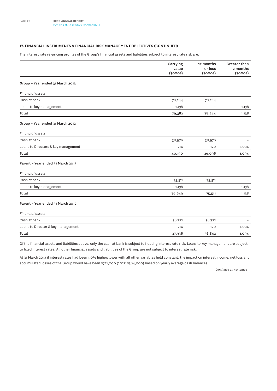### **17. FINANCIAL INSTRUMENTS & FINANCIAL RISK MANAGEMENT OBJECTIVES (continued)**

The interest rate re-pricing profiles of the Group's financial assets and liabilities subject to interest rate risk are:

|                                     | Carrying<br>value<br>$(s$ ooos $)$ | 12 months<br>or less<br>$(s$ ooos $)$ | Greater than<br>12 months<br>$(s$ ooos $)$ |
|-------------------------------------|------------------------------------|---------------------------------------|--------------------------------------------|
|                                     |                                    |                                       |                                            |
| Group - Year ended 31 March 2013    |                                    |                                       |                                            |
| <b>Financial assets</b>             |                                    |                                       |                                            |
| Cash at bank                        | 78,244                             | 78,244                                |                                            |
| Loans to key management             | 1,138                              |                                       | 1,138                                      |
| Total                               | 79,382                             | 78,244                                | 1,138                                      |
| Group - Year ended 31 March 2012    |                                    |                                       |                                            |
| <b>Financial assets</b>             |                                    |                                       |                                            |
| Cash at bank                        | 38,976                             | 38,976                                |                                            |
| Loans to Directors & key management | 1,214                              | 120                                   | 1,094                                      |
| Total                               | 40,190                             | 39,096                                | 1,094                                      |
| Parent - Year ended 31 March 2013   |                                    |                                       |                                            |
| <b>Financial assets</b>             |                                    |                                       |                                            |
| Cash at bank                        | 75,511                             | 75,511                                |                                            |
| Loans to key management             | 1,138                              |                                       | 1,138                                      |
| Total                               | 76,649                             | 75,511                                | 1,138                                      |
| Parent - Year ended 31 March 2012   |                                    |                                       |                                            |
| <b>Financial</b> assets             |                                    |                                       |                                            |
| Cash at bank                        | 36,722                             | 36,722                                |                                            |
| Loans to Director & key management  | 1,214                              | 120                                   | 1,094                                      |
| Total                               | 37,936                             | 36,842                                | 1,094                                      |

Of the financial assets and liabilities above, only the cash at bank is subject to floating interest rate risk. Loans to key management are subject to fixed interest rates. All other financial assets and liabilities of the Group are not subject to interest rate risk.

At 31 March 2013 if interest rates had been 1.0% higher/lower with all other variables held constant, the impact on interest income, net loss and accumulated losses of the Group would have been \$721,000 (2012: \$364,000) based on yearly average cash balances.

*Continued on next page ...*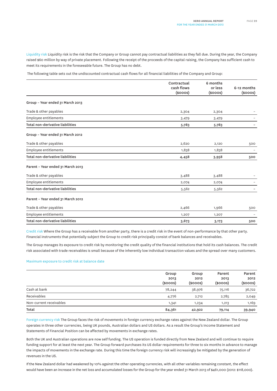Liquidity risk Liquidity risk is the risk that the Company or Group cannot pay contractual liabilities as they fall due. During the year, the Company raised \$60 million by way of private placement. Following the receipt of the proceeds of the capital raising, the Company has sufficient cash to meet its requirements in the foreseeable future. The Group has no debt.

The following table sets out the undiscounted contractual cash flows for all financial liabilities of the Company and Group:

|                                   | Contractual<br>cash flows<br>$(s$ ooos $)$ | 6 months<br>or less<br>$(s$ ooos $)$ | 6-12 months<br>$(s$ ooos $)$ |
|-----------------------------------|--------------------------------------------|--------------------------------------|------------------------------|
|                                   |                                            |                                      |                              |
| Group - Year ended 31 March 2013  |                                            |                                      |                              |
| Trade & other payables            | 2,304                                      | 2,304                                |                              |
| Employee entitlements             | 3,479                                      | 3,479                                |                              |
| Total non-derivative liabilities  | 5,783                                      | 5,783                                |                              |
| Group - Year ended 31 March 2012  |                                            |                                      |                              |
| Trade & other payables            | 2,620                                      | 2,120                                | 500                          |
| Employee entitlements             | 1,838                                      | 1,838                                |                              |
| Total non-derivative liabilities  | 4,458                                      | 3,958                                | 500                          |
| Parent - Year ended 31 March 2013 |                                            |                                      |                              |
| Trade & other payables            | 3,488                                      | 3,488                                |                              |
| Employee entitlements             | 2,074                                      | 2,074                                |                              |
| Total non-derivative liabilities  | 5,562                                      | 5,562                                |                              |
| Parent - Year ended 31 March 2012 |                                            |                                      |                              |
| Trade & other payables            | 2,466                                      | 1,966                                | 500                          |
| Employee entitlements             | 1,207                                      | 1,207                                |                              |
| Total non-derivative liabilities  | 3,673                                      | 3,173                                | 500                          |

Credit risk Where the Group has a receivable from another party, there is a credit risk in the event of non-performance by that other party. Financial instruments that potentially subject the Group to credit risk principally consist of bank balances and receivables.

The Group manages its exposure to credit risk by monitoring the credit quality of the financial institutions that hold its cash balances. The credit risk associated with trade receivables is small because of the inherently low individual transaction values and the spread over many customers.

#### Maximum exposure to credit risk at balance date

|                         | Group<br>2013<br>$(s$ ooos $)$ | Group<br>2012<br>$(s$ ooos $)$ | Parent<br>2013<br>$(s$ ooos $)$ | Parent<br>2012<br>$(s$ ooos $)$ |
|-------------------------|--------------------------------|--------------------------------|---------------------------------|---------------------------------|
| Cash at bank            | 78,244                         | 38,976                         | 75,116                          | 36,722                          |
| Receivables             | 4,776                          | 2,712                          | 2,785                           | 2,049                           |
| Non-current receivables | 1,341                          | 1,234                          | 1,213                           | 1,169                           |
| Total                   | 84,361                         | 42,922                         | 79,114                          | 39,940                          |

Foreign currency risk The Group faces the risk of movements in foreign currency exchange rates against the New Zealand dollar. The Group operates in three other currencies, being UK pounds, Australian dollars and US dollars. As a result the Group's Income Statement and Statements of Financial Position can be affected by movements in exchange rates.

Both the UK and Australian operations are now self funding. The US operation is funded directly from New Zealand and will continue to require funding support for at least the next year. The Group forward purchases its US dollar requirements for three to six months in advance to manage the impacts of movements in the exchange rate. During this time the foreign currency risk will increasingly be mitigated by the generation of revenues in the US.

If the New Zealand dollar had weakened by 10% against the other operating currencies, with all other variables remaining constant, the effect would have been an increase in the net loss and accumulated losses for the Group for the year ended 31 March 2013 of \$461,000 (2012: \$118,000).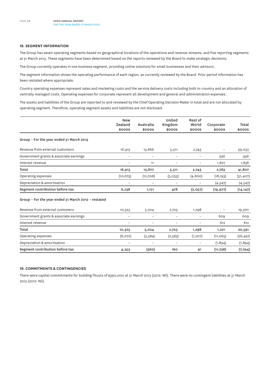### **18. SEGMENT INFORMATION**

The Group has seven operating segments based on geographical locations of the operations and revenue streams, and five reporting segments at 31 March 2013. These segments have been determined based on the reports reviewed by the Board to make strategic decisions.

The Group currently operates in one business segment, providing online solutions for small businesses and their advisors.

The segment information shows the operating performance of each region, as currently reviewed by the Board. Prior period information has been restated where appropriate.

Country operating expenses represent sales and marketing costs and the service delivery costs including both in-country and an allocation of centrally managed costs. Operating expenses for corporate represent all development and general and administration expenses.

The assets and liabilities of the Group are reported to and reviewed by the Chief Operating Decision Maker in total and are not allocated by operating segment. Therefore, operating segment assets and liabilities are not disclosed.

|                                                     | <b>New</b><br>Zealand<br>\$000S | Australia<br>\$000S | United<br>Kingdom<br>\$000S | Rest of<br>World<br>\$000S | Corporate<br>\$000S | Total<br>\$000S |
|-----------------------------------------------------|---------------------------------|---------------------|-----------------------------|----------------------------|---------------------|-----------------|
| Group - For the year ended 31 March 2013            |                                 |                     |                             |                            |                     |                 |
| Revenue from external customers                     | 16,913                          | 13,866              | 5,511                       | 2,743                      | -                   | 39,033          |
| Government grants & associate earnings              | $\overline{\phantom{a}}$        | $\qquad \qquad -$   | $\overline{\phantom{a}}$    | $\qquad \qquad -$          | 936                 | 936             |
| Interest revenue                                    |                                 | 11                  |                             | $\overline{\phantom{0}}$   | 1,827               | 1,838           |
| Total                                               | 16,913                          | 13,877              | 5,511                       | 2,743                      | 2,763               | 41,807          |
| Operating expenses                                  | (10, 675)                       | (12,706)            | (5,033)                     | (4,800)                    | (18, 193)           | (51, 407)       |
| Depreciation & amortisation                         |                                 |                     |                             |                            | (4, 547)            | (4, 547)        |
| Segment contribution before tax                     | 6,238                           | 1,171               | 478                         | (2,057)                    | (19, 977)           | (14, 147)       |
| Group - For the year ended 31 March 2012 - restated |                                 |                     |                             |                            |                     |                 |
| Revenue from external customers                     | 10,325                          | 5,024               | 2,723                       | 1,298                      |                     | 19,370          |
| Government grants & associate earnings              | $\overline{\phantom{a}}$        | $\qquad \qquad -$   | $\overline{\phantom{a}}$    | $\overline{\phantom{a}}$   | 609                 | 609             |
| Interest revenue                                    | $\overline{a}$                  | $\overline{a}$      | $\overline{\phantom{0}}$    |                            | 612                 | 612             |
| Total                                               | 10,325                          | 5,024               | 2,723                       | 1,298                      | 1,221               | 20,591          |
| Operating expenses                                  | (6,072)                         | (5, 584)            | (2, 563)                    | (1, 207)                   | (11,065)            | (26, 491)       |
| Depreciation & amortisation                         | $\overline{a}$                  | $\overline{a}$      |                             | $\qquad \qquad -$          | (1,894)             | (1,894)         |
| Segment contribution before tax                     | 4,253                           | (560)               | 160                         | 91                         | (11,738)            | (7, 794)        |

### **19. COMMITMENTS & CONTINGENCIES**

There were capital commitments for building fitouts of \$390,000 at 31 March 2013 (2012: Nil). There were no contingent liabilities at 31 March 2013 (2012: Nil).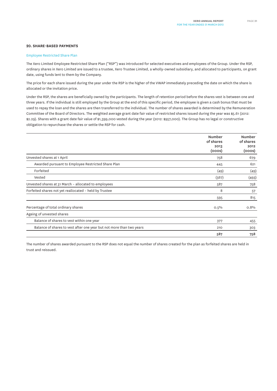### **20. SHARE-BASED PAYMENTS**

#### Employee Restricted Share Plan

The Xero Limited Employee Restricted Share Plan ("RSP") was introduced for selected executives and employees of the Group. Under the RSP, ordinary shares in Xero Limited are issued to a trustee, Xero Trustee Limited, a wholly-owned subsidiary, and allocated to participants, on grant date, using funds lent to them by the Company.

The price for each share issued during the year under the RSP is the higher of the VWAP immediately preceding the date on which the share is allocated or the invitation price.

Under the RSP, the shares are beneficially owned by the participants. The length of retention period before the shares vest is between one and three years. If the individual is still employed by the Group at the end of this specific period, the employee is given a cash bonus that must be used to repay the loan and the shares are then transferred to the individual. The number of shares awarded is determined by the Remuneration Committee of the Board of Directors. The weighted average grant date fair value of restricted shares issued during the year was \$5.61 (2012: \$2.29). Shares with a grant date fair value of \$1,399,000 vested during the year (2012: \$957,000). The Group has no legal or constructive obligation to repurchase the shares or settle the RSP for cash.

|                                                                      | <b>Number</b><br>of shares<br>2013<br>(ooos) | Number<br>of shares<br>2012<br>(ooos) |
|----------------------------------------------------------------------|----------------------------------------------|---------------------------------------|
| Unvested shares at 1 April                                           | 758                                          | 679                                   |
| Awarded pursuant to Employee Restricted Share Plan                   | 445                                          | 621                                   |
| Forfeited                                                            | (49)                                         | (49)                                  |
| Vested                                                               | (567)                                        | (493)                                 |
| Unvested shares at 31 March - allocated to employees                 | 587                                          | 758                                   |
| Forfeited shares not yet reallocated - held by Trustee               | 8                                            | 57                                    |
|                                                                      | 595                                          | 815                                   |
| Percentage of total ordinary shares                                  | $0.5\%$                                      | 0.8%                                  |
| Ageing of unvested shares                                            |                                              |                                       |
| Balance of shares to vest within one year                            | 377                                          | 455                                   |
| Balance of shares to vest after one year but not more than two years | 210                                          | 303                                   |
|                                                                      | 587                                          | 758                                   |

The number of shares awarded pursuant to the RSP does not equal the number of shares created for the plan as forfeited shares are held in trust and reissued.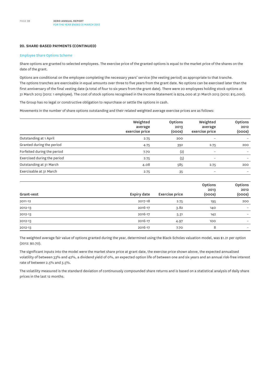### **20. Share-based PAYMENTS (continued)**

#### Employee Share Options Scheme

Share options are granted to selected employees. The exercise price of the granted options is equal to the market price of the shares on the date of the grant.

Options are conditional on the employee completing the necessary years' service (the vesting period) as appropriate to that tranche. The options tranches are exercisable in equal amounts over three to five years from the grant date. No options can be exercised later than the first anniversary of the final vesting date (a total of four to six years from the grant date). There were 20 employees holding stock options at 31 March 2013 (2012: 1 employee). The cost of stock options recognised in the Income Statement is \$274,000 at 31 March 2013 (2012: \$15,000).

The Group has no legal or constructive obligation to repurchase or settle the options in cash.

Movements in the number of share options outstanding and their related weighted average exercise prices are as follows:

|                             | Weighted<br>average<br>exercise price | <b>Options</b><br>2013<br>(ooos) | Weighted<br>average<br>exercise price | Options<br>2012<br>(ooos) |
|-----------------------------|---------------------------------------|----------------------------------|---------------------------------------|---------------------------|
| Outstanding at 1 April      | 2.75                                  | 200                              |                                       |                           |
| Granted during the period   | 4.75                                  | 392                              | 2.75                                  | 200                       |
| Forfeited during the period | 7.70                                  | (2)                              | $\overline{\phantom{0}}$              |                           |
| Exercised during the period | 2.75                                  | (5)                              | $\overline{\phantom{0}}$              |                           |
| Outstanding at 31 March     | 4.08                                  | 585                              | 2.75                                  | 200                       |
| Exercisable at 31 March     | 2.75                                  | 35                               | $\overline{\phantom{0}}$              |                           |

| Grant-vest | Expiry date | <b>Exercise price</b> | Options<br>2013<br>(ooos) | Options<br>2012<br>(000s) |
|------------|-------------|-----------------------|---------------------------|---------------------------|
| 2011-12    | 2017-18     | 2.75                  | 195                       | 200                       |
| 2012-13    | 2016-17     | 3.82                  | 140                       | $\overline{\phantom{0}}$  |
| 2012-13    | 2016-17     | 5.31                  | 142                       | $\overline{\phantom{0}}$  |
| 2012-13    | 2016-17     | 4.97                  | 100                       | $\overline{\phantom{0}}$  |
| 2012-13    | 2016-17     | 7.70                  | 8                         | $\qquad \qquad -$         |

The weighted average fair value of options granted during the year, determined using the Black-Scholes valuation model, was \$1.21 per option (2012: \$0.70).

The significant inputs into the model were the market share price at grant date, the exercise price shown above, the expected annualised volatility of between 33% and 42%, a dividend yield of 0%, an expected option life of between one and six years and an annual risk-free interest rate of between 2.5% and 3.5%.

The volatility measured is the standard deviation of continuously compounded share returns and is based on a statistical analysis of daily share prices in the last 12 months.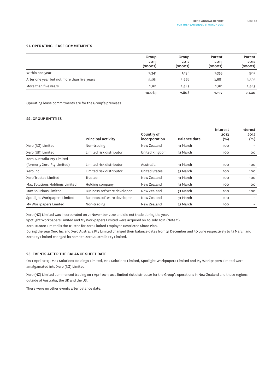### **21. OPERATING LEASE COMMITMENTS**

|                                             | Group<br>2013<br>$(s$ ooos $)$ | Group<br>2012<br>$(s$ ooos $)$ | Parent<br>2013<br>$(s$ ooos $)$ | Parent<br>2012<br>$(s$ ooos $)$ |
|---------------------------------------------|--------------------------------|--------------------------------|---------------------------------|---------------------------------|
| Within one year                             | 2,341                          | 1,198                          | 1,355                           | 902                             |
| After one year but not more than five years | 5,561                          | 3,667                          | 3,681                           | 3,595                           |
| More than five years                        | 2,161                          | 2,943                          | 2.161                           | 2,943                           |
|                                             | 10,063                         | 7,808                          | 7,197                           | 7,440                           |

Operating lease commitments are for the Group's premises.

### **22. GROUP ENTITIES**

|                                |                             | Country of     |              | Interest<br>2013 | Interest<br>2012 |
|--------------------------------|-----------------------------|----------------|--------------|------------------|------------------|
|                                | Principal activity          | incorporation  | Balance date | $(^{o}/_{o})$    | $(\%)$           |
| Xero (NZ) Limited              | Non-trading                 | New Zealand    | 31 March     | 100              |                  |
| Xero (UK) Limited              | Limited risk distributor    | United Kingdom | 31 March     | 100              | 100              |
| Xero Australia Pty Limited     |                             |                |              |                  |                  |
| (formerly Xero Pty Limited)    | Limited risk distributor    | Australia      | 31 March     | 100              | 100              |
| Xero Inc                       | Limited risk distributor    | United States  | 31 March     | 100              | 100              |
| Xero Trustee Limited           | Trustee                     | New Zealand    | 31 March     | 100              | 100              |
| Max Solutions Holdings Limited | Holding company             | New Zealand    | 31 March     | 100              | 100              |
| Max Solutions Limited          | Business software developer | New Zealand    | 31 March     | 100              | 100              |
| Spotlight Workpapers Limited   | Business software developer | New Zealand    | 31 March     | 100              |                  |
| My Workpapers Limited          | Non-trading                 | New Zealand    | 31 March     | 100              |                  |

Xero (NZ) Limited was incorporated on 21 November 2012 and did not trade during the year.

Spotlight Workpapers Limited and My Workpapers Limited were acquired on 20 July 2012 (Note 11).

Xero Trustee Limited is the Trustee for Xero Limited Employee Restricted Share Plan.

During the year Xero Inc and Xero Australia Pty Limited changed their balance dates from 31 December and 30 June respectively to 31 March and Xero Pty Limited changed its name to Xero Australia Pty Limited.

### **23. EVENTS AFTER THE BALANCE SHEET DATE**

On 1 April 2013, Max Solutions Holdings Limited, Max Solutions Limited, Spotlight Workpapers Limited and My Workpapers Limited were amalgamated into Xero (NZ) Limited.

Xero (NZ) Limited commenced trading on 1 April 2013 as a limited risk distributor for the Group's operations in New Zealand and those regions outside of Australia, the UK and the US.

There were no other events after balance date.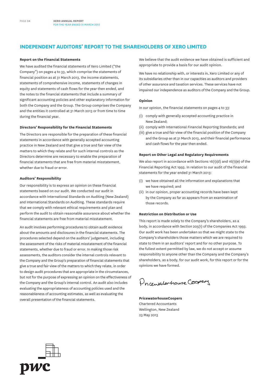# **Independent Auditors' Report to the shareholders of Xero Limited**

#### **Report on the Financial Statements**

We have audited the financial statements of Xero Limited ("the Company") on pages 4 to 33, which comprise the statements of financial position as at 31 March 2013, the income statements, statements of comprehensive income, statements of changes in equity and statements of cash flows for the year then ended, and the notes to the financial statements that include a summary of significant accounting policies and other explanatory information for both the Company and the Group. The Group comprises the Company and the entities it controlled at 31 March 2013 or from time to time during the financial year.

#### **Directors' Responsibility for the Financial Statements**

The Directors are responsible for the preparation of these financial statements in accordance with generally accepted accounting practice in New Zealand and that give a true and fair view of the matters to which they relate and for such internal controls as the Directors determine are necessary to enable the preparation of financial statements that are free from material misstatement, whether due to fraud or error.

#### **Auditors' Responsibility**

Our responsibility is to express an opinion on these financial statements based on our audit. We conducted our audit in accordance with International Standards on Auditing (New Zealand) and International Standards on Auditing. These standards require that we comply with relevant ethical requirements and plan and perform the audit to obtain reasonable assurance about whether the financial statements are free from material misstatement.

An audit involves performing procedures to obtain audit evidence about the amounts and disclosures in the financial statements. The procedures selected depend on the auditors' judgement, including the assessment of the risks of material misstatement of the financial statements, whether due to fraud or error. In making those risk assessments, the auditors consider the internal controls relevant to the Company and the Group's preparation of financial statements that give a true and fair view of the matters to which they relate, in order to design audit procedures that are appropriate in the circumstances, but not for the purpose of expressing an opinion on the effectiveness of the Company and the Group's internal control. An audit also includes evaluating the appropriateness of accounting policies used and the reasonableness of accounting estimates, as well as evaluating the overall presentation of the financial statements.

We believe that the audit evidence we have obtained is sufficient and appropriate to provide a basis for our audit opinion.

We have no relationship with, or interests in, Xero Limited or any of its subsidiaries other than in our capacities as auditors and providers of other assurance and taxation services. These services have not impaired our independence as auditors of the Company and the Group.

#### **Opinion**

In our opinion, the financial statements on pages 4 to 33:

- (i) comply with generally accepted accounting practice in New Zealand;
- (ii) comply with International Financial Reporting Standards; and
- (iii) give a true and fair view of the financial position of the Company and the Group as at 31 March 2013, and their financial performance and cash flows for the year then ended.

#### **Report on Other Legal and Regulatory Requirements**

We also report in accordance with Sections 16(1)(d) and 16(1)(e) of the Financial Reporting Act 1993. In relation to our audit of the financial statements for the year ended 31 March 2013:

- (i) we have obtained all the information and explanations that we have required; and
- (ii) in our opinion, proper accounting records have been kept by the Company as far as appears from an examination of those records.

#### **Restriction on Distribution or Use**

This report is made solely to the Company's shareholders, as a body, in accordance with Section 205(1) of the Companies Act 1993. Our audit work has been undertaken so that we might state to the Company's shareholders those matters which we are required to state to them in an auditors' report and for no other purpose. To the fullest extent permitted by law, we do not accept or assume responsibility to anyone other than the Company and the Company's shareholders, as a body, for our audit work, for this report or for the opinions we have formed.

Procentilerhouse Cooper

**PricewaterhouseCoopers** Chartered Accountants Wellington, New Zealand 23 May 2013

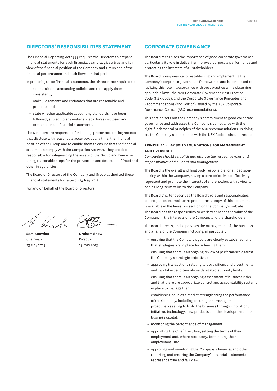## **Directors' responsibilities statement**

The Financial Reporting Act 1993 requires the Directors to prepare financial statements for each financial year that give a true and fair view of the financial position of the Company and Group and of the financial performance and cash flows for that period.

In preparing these financial statements, the Directors are required to:

- select suitable accounting policies and then apply them consistently;
- make judgements and estimates that are reasonable and prudent; and
- state whether applicable accounting standards have been followed, subject to any material departures disclosed and explained in the financial statements.

The Directors are responsible for keeping proper accounting records that disclose with reasonable accuracy, at any time, the financial position of the Group and to enable them to ensure that the financial statements comply with the Companies Act 1993. They are also responsible for safeguarding the assets of the Group and hence for taking reasonable steps for the prevention and detection of fraud and other irregularities.

The Board of Directors of the Company and Group authorised these financial statements for issue on 23 May 2013.

For and on behalf of the Board of Directors

**Sam Knowles** Chairman 23 May 2013



**Graham Shaw** Director 23 May 2013

### **CORPORATE GOVERNANCE**

The Board recognises the importance of good corporate governance, particularly its role in delivering improved corporate performance and protecting the interests of all stakeholders.

The Board is responsible for establishing and implementing the Company's corporate governance frameworks, and is committed to fulfilling this role in accordance with best practice while observing applicable laws, the NZX Corporate Governance Best Practice Code (NZX Code), and the Corporate Governance Principles and Recommendations (2nd Edition) issued by the ASX Corporate Governance Council (ASX recommendations).

This section sets out the Company's commitment to good corporate governance and addresses the Company's compliance with the eight fundamental principles of the ASX recommendations. In doing so, the Company's compliance with the NZX Code is also addressed.

### **Principle 1 – Lay solid foundations for management and oversight**

*Companies should establish and disclose the respective roles and responsibilities of the Board and management*

The Board is the overall and final body responsible for all decisionmaking within the Company, having a core objective to effectively represent and promote the interests of shareholders with a view to adding long-term value to the Company.

The Board Charter describes the Board's role and responsibilities and regulates internal Board procedures; a copy of this document is available in the Investors section on the Company's website. The Board has the responsibility to work to enhance the value of the Company in the interests of the Company and the shareholders.

The Board directs, and supervises the management of, the business and affairs of the Company including, in particular:

- ensuring that the Company's goals are clearly established, and that strategies are in place for achieving them;
- ensuring that there is an ongoing review of performance against the Company's strategic objectives;
- approving transactions relating to acquisitions and divestments and capital expenditure above delegated authority limits;
- ensuring that there is an ongoing assessment of business risks and that there are appropriate control and accountability systems in place to manage them;
- establishing policies aimed at strengthening the performance of the Company, including ensuring that management is proactively seeking to build the business through innovation, initiative, technology, new products and the development of its business capital;
- monitoring the performance of management;
- appointing the Chief Executive, setting the terms of their employment and, where necessary, terminating their employment; and
- approving and monitoring the Company's financial and other reporting and ensuring the Company's financial statements represent a true and fair view.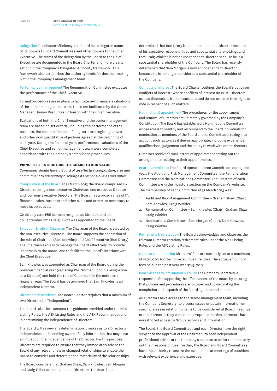Delegation To enhance efficiency, the Board has delegated some of its powers to Board Committees and other powers to the Chief Executive. The terms of the delegation by the Board to the Chief Executive are documented in the Board Charter and more clearly set out in the Company's Delegated Authority framework. This framework also establishes the authority levels for decision-making within the Company's management team.

Performance management The Remuneration Committee evaluates the performance of the Chief Executive.

Formal procedures are in place to facilitate performance evaluations of the senior management team. These are facilitated by the General Manager, Human Resources, in liaison with the Chief Executive.

Evaluations of both the Chief Executive and the senior management team are based on set criteria, including the performance of the business, the accomplishment of long-term strategic objectives and other non-quantitative objectives agreed at the beginning of each year. During the financial year, performance evaluations of the Chief Executive and senior management team were completed in accordance with the Company's established procedures.

### **Principle 2 – Structure the Board to add value**

*Companies should have a Board of an effective composition, size and commitment to adequately discharge its responsibilities and duties*

Composition of the Board At 31 March 2013 the Board comprised six Directors, being a non-executive Chairman, one executive Director and four non-executive Directors. The Board has a broad range of IT, financial, sales, business and other skills and expertise necessary to meet its objectives.

On 26 July 2012 Phil Norman resigned as Director, and on 20 September 2012 Craig Elliott was appointed to the Board.

Selection & role of Chairman The Chairman of the Board is elected by the non-executive Directors. The Board supports the separation of the role of Chairman (Sam Knowles) and Chief Executive (Rod Drury). The Chairman's role is to manage the Board effectively, to provide leadership to the Board, and to facilitate the Board's interface with the Chief Executive.

Sam Knowles was appointed as Chairman of the Board during the previous financial year (replacing Phil Norman upon his resignation as a Director) and held the role of Chairman for the entire 2013 financial year. The Board has determined that Sam Knowles is an Independent Director.

Director independence The Board Charter requires that a minimum of two Directors be "independent".

The Board takes into account the guidance provided under the NZX Listing Rules, the ASX Listing Rules and the ASX Recommendations, in determining the independence of Directors.

The Board will review any determination it makes as to a Director's independence on becoming aware of any information that may have an impact on the independence of the Director. For this purpose, Directors are required to ensure that they immediately advise the Board of any relevant new or changed relationships to enable the Board to consider and determine the materiality of the relationships.

The Board considers that Graham Shaw, Sam Knowles, Sam Morgan and Craig Elliott are Independent Directors. The Board has

determined that Rod Drury is not an Independent Director because of his executive responsibilities and substantial shareholding, and that Craig Winkler is not an Independent Director because he is a substantial shareholder of the Company. The Board has recently determined that Sam Morgan is now an Independent Director because he is no longer considered a substantial shareholder of the Company.

Conflicts of interest The Board Charter outlines the Board's policy on conflicts of interest. Where conflicts of interest do exist, Directors excuse themselves from discussions and do not exercise their right to vote in respect of such matters.

Nomination & appointment The procedures for the appointment and removal of Directors are ultimately governed by the Company's Constitution. The Board has established a Nominations Committee whose role is to identify and recommend to the Board individuals for nomination as members of the Board and its Committees, taking into account such factors as it deems appropriate, including experience, qualifications, judgement and the ability to work with other Directors.

Directors receive formal letters of appointment setting out the arrangements relating to their appointments.

Board Committees The Board operated three Committees during the year: the Audit and Risk Management Committee, the Remuneration Committee and the Nominations Committee. The Charters of each Committee are in the Investors section on the Company's website. The membership of each Committee at 31 March 2013 was:

- 1. Audit and Risk Management Committee Graham Shaw (Chair), Sam Knowles, Craig Winkler
- 2. Remuneration Committee Sam Knowles (Chair), Graham Shaw, Craig Winkler
- 3. Nominations Committee Sam Morgan (Chair), Sam Knowles, Craig Winkler

Retirement & re-election The Board acknowledges and observes the relevant Director rotation/retirement rules under the NZX Listing Rules and the ASX Listing Rules.

Director remuneration Directors' fees are currently set at a maximum of \$500,000 for the non-executive Directors. The actual amount of fees paid in the past year was \$243,000.

Board access to information & advice The Company Secretary is responsible for supporting the effectiveness of the Board by ensuring that policies and procedures are followed and co-ordinating the completion and dispatch of the Board agendas and papers.

All Directors have access to the senior management team, including the Company Secretary, to discuss issues or obtain information on specific areas in relation to items to be considered at Board meetings or other areas as they consider appropriate. Further, Directors have unrestricted access to Group records and information.

The Board, the Board Committees and each Director have the right, subject to the approval of the Chairman, to seek independent professional advice at the Company's expense to assist them to carry out their responsibilities. Further, the Board and Board Committees have the authority to secure the attendance at meetings of outsiders with relevant experience and expertise.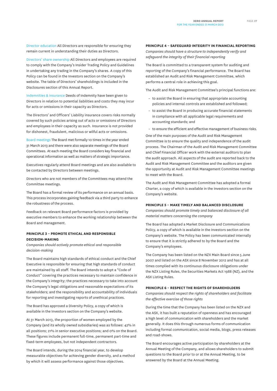Director education All Directors are responsible for ensuring they remain current in understanding their duties as Directors.

Directors' share ownership All Directors and employees are required to comply with the Company's Insider Trading Policy and Guidelines in undertaking any trading in the Company's shares. A copy of this Policy can be found in the Investors section on the Company's website. The table of Directors' shareholdings is included in the Disclosures section of this Annual Report.

Indemnities & insurance Deeds of Indemnity have been given to Directors in relation to potential liabilities and costs they may incur for acts or omissions in their capacity as Directors.

The Directors' and Officers' Liability insurance covers risks normally covered by such policies arising out of acts or omissions of Directors and employees in their capacity as such. Insurance is not provided for dishonest, fraudulent, malicious or wilful acts or omissions.

Board meetings The Board met formally 10 times in the year ended 31 March 2013 and there were also separate meetings of the Board Committees. At each meeting the Board considers key financial and operational information as well as matters of strategic importance.

Executives regularly attend Board meetings and are also available to be contacted by Directors between meetings.

Directors who are not members of the Committees may attend the Committee meetings.

The Board has a formal review of its performance on an annual basis. This process incorporates gaining feedback via a third party to enhance the robustness of the process.

Feedback on relevant Board performance factors is provided by executive members to enhance the working relationship between the Board and management.

### **Principle 3 – Promote ethical and responsible decision-making**

*Companies should actively promote ethical and responsible decision-making*

The Board maintains high standards of ethical conduct and the Chief Executive is responsible for ensuring that high standards of conduct are maintained by all staff. The Board intends to adopt a "Code of Conduct" covering the practices necessary to maintain confidence in the Company's integrity; the practices necessary to take into account the Company's legal obligations and reasonable expectations of its stakeholders; and the responsibility and accountability of individuals for reporting and investigating reports of unethical practices.

The Board has approved a Diversity Policy, a copy of which is available in the Investors section on the Company's website.

At 31 March 2013, the proportion of women employed by the Company (and its wholly owned subsidiaries) was as follows: 42% in all positions; 21% in senior executive positions; and 0% on the Board. These figures include permanent full-time, permanent part-time and fixed-term employees, but not independent contractors.

The Board intends, during the 2014 financial year, to develop measurable objectives for achieving gender diversity, and a method by which it will assess performance against those objectives.

#### **Principle 4 – Safeguard integrity in financial reporting**

*Companies should have a structure to independently verify and safeguard the integrity of their financial reporting*

The Board is committed to a transparent system for auditing and reporting of the Company's financial performance. The Board has established an Audit and Risk Management Committee, which performs a central role in achieving this goal.

The Audit and Risk Management Committee's principal functions are:

- to assist the Board in ensuring that appropriate accounting policies and internal controls are established and followed;
- to assist the Board in producing accurate financial statements in compliance with all applicable legal requirements and accounting standards; and
- to ensure the efficient and effective management of business risks.

One of the main purposes of the Audit and Risk Management Committee is to ensure the quality and independence of the audit process. The Chairman of the Audit and Risk Management Committee and Chief Financial Officer work with the external auditors to plan the audit approach. All aspects of the audit are reported back to the Audit and Risk Management Committee and the auditors are given the opportunity at Audit and Risk Management Committee meetings to meet with the Board.

The Audit and Risk Management Committee has adopted a formal Charter, a copy of which is available in the Investors section on the Company's website.

#### **Principle 5 – Make timely and balanced disclosure**

*Companies should promote timely and balanced disclosure of all material matters concerning the company*

The Board has adopted a Market Disclosure and Communications Policy, a copy of which is available in the Investors section on the Company's website. The Policy has been communicated internally to ensure that it is strictly adhered to by the Board and the Company's employees.

The Company has been listed on the NZX Main Board since 5 June 2007 and listed on the ASX since 8 November 2012 and has at all times complied with its continuous disclosure obligations under the NZX Listing Rules, the Securities Markets Act 1988 (NZ), and the ASX Listing Rules.

#### **Principle 6 – Respect the rights of shareholders**

*Companies should respect the rights of shareholders and facilitate the effective exercise of those rights*

During the time that the Company has been listed on the NZX and the ASX, it has built a reputation of openness and has encouraged a high level of communication with shareholders and the market generally. It does this through numerous forms of communication including formal communication, social media, blogs, press releases and road-shows.

The Board encourages active participation by shareholders at the Annual Meeting of the Company, and allows shareholders to submit questions to the Board prior to or at the Annual Meeting, to be answered by the Board at the Annual Meeting.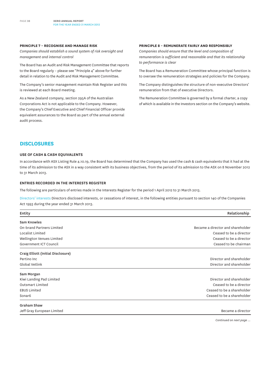#### **Principle 7 – Recognise and manage risk**

*Companies should establish a sound system of risk oversight and management and internal control*

The Board has an Audit and Risk Management Committee that reports to the Board regularly – please see "Principle 4" above for further detail in relation to the Audit and Risk Management Committee.

The Company's senior management maintain Risk Register and this is reviewed at each Board meeting.

As a New Zealand company, section 295A of the Australian Corporations Act is not applicable to the Company. However, the Company's Chief Executive and Chief Financial Officer provide equivalent assurances to the Board as part of the annual external audit process.

### **Principle 8 – Remunerate fairly and responsibly**

*Companies should ensure that the level and composition of remuneration is sufficient and reasonable and that its relationship to performance is clear*

The Board has a Remuneration Committee whose principal function is to oversee the remuneration strategies and policies for the Company.

The Company distinguishes the structure of non-executive Directors' remuneration from that of executive Directors.

The Remuneration Committee is governed by a formal charter, a copy of which is available in the Investors section on the Company's website.

## **Disclosures**

### **Use of cash & cash equivalents**

In accordance with ASX Listing Rule 4.10.19, the Board has determined that the Company has used the cash & cash equivalents that it had at the time of its admission to the ASX in a way consistent with its business objectives, from the period of its admission to the ASX on 8 November 2012 to 31 March 2013.

### **Entries recorded in the interests register**

The following are particulars of entries made in the Interests Register for the period 1 April 2012 to 31 March 2013.

Directors' interests Directors disclosed interests, or cessations of interest, in the following entities pursuant to section 140 of the Companies Act 1993 during the year ended 31 March 2013.

| Relationship<br>Entity             |                                   |  |
|------------------------------------|-----------------------------------|--|
| Sam Knowles                        |                                   |  |
| On-brand Partners Limited          | Became a director and shareholder |  |
| Localist Limited                   | Ceased to be a director           |  |
| Wellington Venues Limited          | Ceased to be a director           |  |
| Government ICT Council             | Ceased to be chairman             |  |
| Craig Elliott (Initial Disclosure) |                                   |  |
| Pertino Inc                        | Director and shareholder          |  |
| Global Vetlink                     | Director and shareholder          |  |
| Sam Morgan                         |                                   |  |
| Kiwi Landing Pad Limited           | Director and shareholder          |  |
| <b>Outsmart Limited</b>            | Ceased to be a director           |  |
| <b>EBUS Limited</b>                | Ceased to be a shareholder        |  |
| Sonar6                             | Ceased to be a shareholder        |  |
| <b>Graham Shaw</b>                 |                                   |  |
| Jeff Gray European Limited         | Became a director                 |  |

*Continued on next page ...*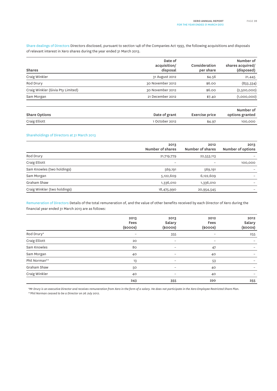Share dealings of Directors Directors disclosed, pursuant to section 148 of the Companies Act 1993, the following acquisitions and disposals of relevant interest in Xero shares during the year ended 31 March 2013.

| <b>Shares</b>                     | Date of<br>acquisition/<br>disposal | Consideration<br>per share | Number of<br>shares acquired/<br>(disposed) |
|-----------------------------------|-------------------------------------|----------------------------|---------------------------------------------|
| Craig Winkler                     | 31 August 2012                      | \$4.56                     | 21,445                                      |
| Rod Drury                         | 30 November 2012                    | \$6.00                     | (833, 334)                                  |
| Craig Winkler (Givia Pty Limited) | 30 November 2012                    | \$6.00                     | (2,500,000)                                 |
| Sam Morgan                        | 21 December 2012                    | \$7.40                     | (1,000,000)                                 |
| <b>Share Options</b>              | Date of grant                       | Exercise price             | Number of<br>options granted                |
| Craig Elliott                     | 1 October 2012                      | \$4.97                     | 100,000                                     |

### Shareholdings of Directors at 31 March 2013

|                              | 2013<br>Number of shares | 2012<br>Number of shares | 2013<br>Number of options |
|------------------------------|--------------------------|--------------------------|---------------------------|
| Rod Drury                    | 21,719,779               | 22,553,113               |                           |
| Craig Elliott                | $\overline{\phantom{0}}$ | $\overline{\phantom{m}}$ | 100,000                   |
| Sam Knowles (two holdings)   | 569,191                  | 569,191                  |                           |
| Sam Morgan                   | 5,122,609                | 6,122,609                |                           |
| Graham Shaw                  | 1,336,010                | 1,336,010                |                           |
| Craig Winkler (two holdings) | 18,475,990               | 20,954,545               |                           |

Remuneration of Directors Details of the total remuneration of, and the value of other benefits received by each Director of Xero during the financial year ended 31 March 2013 are as follows:

|               | 2013<br>Fees<br>$(s$ ooos $)$ | 2013<br>Salary<br>$(s$ ooos $)$ | 2012<br>Fees<br>$(s$ ooos $)$ | 2012<br>Salary<br>$(s$ ooos $)$ |
|---------------|-------------------------------|---------------------------------|-------------------------------|---------------------------------|
| Rod Drury*    | $\overline{\phantom{0}}$      | 355                             | $\overline{\phantom{0}}$      | 255                             |
| Craig Elliott | 20                            | -                               | $\overline{\phantom{0}}$      |                                 |
| Sam Knowles   | 80                            | -                               | 47                            | $\overline{\phantom{0}}$        |
| Sam Morgan    | 40                            | -                               | 40                            |                                 |
| Phil Norman** | 13                            | -                               | 53                            |                                 |
| Graham Shaw   | 50                            | -                               | 40                            | $\overline{\phantom{0}}$        |
| Craig Winkler | 40                            | -                               | 40                            |                                 |
|               | 243                           | 355                             | 220                           | 255                             |

*\*Mr Drury is an executive Director and receives remuneration from Xero in the form of a salary. He does not participate in the Xero Employee Restricted Share Plan. \*\*Phil Norman ceased to be a Director on 26 July 2012.*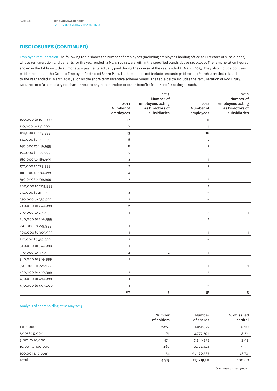# **Disclosures (CONTINUED)**

Employee remuneration The following table shows the number of employees (including employees holding office as Directors of subsidiaries) whose remuneration and benefits for the year ended 31 March 2013 were within the specified bands above \$100,000. The remuneration figures shown in the table include all monetary payments actually paid during the course of the year ended 31 March 2013. They also include bonuses paid in respect of the Group's Employee Restricted Share Plan. The table does not include amounts paid post 31 March 2013 that related to the year ended 31 March 2013, such as the short-term incentive scheme bonus. The table below includes the remuneration of Rod Drury. No Director of a subsidiary receives or retains any remuneration or other benefits from Xero for acting as such.

|                    | 2013<br>Number of<br>employees | 2013<br>Number of<br>employees acting<br>as Directors of<br>subsidiaries | 2012<br>Number of<br>employees | 2012<br>Number of<br>employees acting<br>as Directors of<br>subsidiaries |
|--------------------|--------------------------------|--------------------------------------------------------------------------|--------------------------------|--------------------------------------------------------------------------|
| 100,000 to 109,999 | 17                             |                                                                          | 11                             |                                                                          |
| 110,000 to 119,999 | 10                             |                                                                          | 8                              |                                                                          |
|                    |                                |                                                                          | 10                             |                                                                          |
| 120,000 to 129,999 | 13                             |                                                                          |                                |                                                                          |
| 130,000 to 139,999 | 6                              |                                                                          | $\mathbf 2$                    |                                                                          |
| 140,000 to 149,999 | 8                              |                                                                          | $\mathbf 2$                    |                                                                          |
| 150,000 to 159,999 | 5                              |                                                                          | 5                              |                                                                          |
| 160,000 to 169,999 | 3                              |                                                                          | $\mathbf{1}$                   |                                                                          |
| 170,000 to 179,999 | $\overline{2}$                 |                                                                          | $\overline{2}$                 |                                                                          |
| 180,000 to 189,999 | 4                              |                                                                          | $\overline{a}$                 |                                                                          |
| 190,000 to 199,999 | $\overline{\mathbf{c}}$        |                                                                          | $\mathbf{1}$                   |                                                                          |
| 200,000 to 209,999 | $\overline{a}$                 |                                                                          | $\mathbf{1}$                   |                                                                          |
| 210,000 to 219,999 | 3                              |                                                                          | $\overline{\phantom{0}}$       |                                                                          |
| 230,000 to 239,999 | $\mathbf{1}$                   |                                                                          |                                |                                                                          |
| 240,000 to 249,999 | $\overline{\mathbf{c}}$        |                                                                          |                                |                                                                          |
| 250,000 to 259,999 | $\mathbf{1}$                   |                                                                          | 3                              | $\mathbf{1}$                                                             |
| 260,000 to 269,999 | $\overline{a}$                 |                                                                          | $\mathbf{1}$                   |                                                                          |
| 270,000 to 279,999 | $\mathbf{1}$                   |                                                                          | $\qquad \qquad -$              |                                                                          |
| 300,000 to 309,999 | $\mathbf{1}$                   |                                                                          | $\mathbf{1}$                   | 1                                                                        |
| 310,000 to 319,999 | $\mathbf{1}$                   |                                                                          | $\overline{a}$                 |                                                                          |
| 340,000 to 349,999 | $\mathbf{1}$                   |                                                                          | $\overline{\phantom{0}}$       |                                                                          |
| 350,000 to 359,999 | $\overline{\mathbf{c}}$        | $\overline{\mathbf{2}}$                                                  | $\mathbf{1}$                   |                                                                          |
| 360,000 to 369,999 | $\mathbf{1}$                   |                                                                          | $\overline{a}$                 |                                                                          |
| 370,000 to 379,999 | $\overline{a}$                 |                                                                          | $\mathbf{1}$                   | 1                                                                        |
| 420,000 to 429,999 | $\mathbf{1}$                   | $\mathbf{1}$                                                             | $\mathbbm{1}$                  |                                                                          |
| 430,000 to 439,999 | $\mathbf{1}$                   |                                                                          |                                |                                                                          |
| 450,000 to 459,000 | $\mathbf{1}$                   |                                                                          | $\overline{a}$                 |                                                                          |
|                    | 87                             | 3                                                                        | 51                             | 3                                                                        |

### Analysis of shareholding at 10 May 2013

|                   | Number<br>of holders | Number<br>of shares | % of issued<br>capital |
|-------------------|----------------------|---------------------|------------------------|
| 1 to 1,000        | 2,257                | 1,052,327           | 0.90                   |
| 1,001 to 5,000    | 1,468                | 3,777,298           | 3.22                   |
| 5,001 to 10,000   | 476                  | 3,546,525           | 3.03                   |
| 10,001 to 100,000 | 460                  | 10,722,424          | 9.15                   |
| 100,001 and over  | 54                   | 98,120,537          | 83.70                  |
| Total             | 4,715                | 117,219,111         | 100.00                 |

*Continued on next page ...*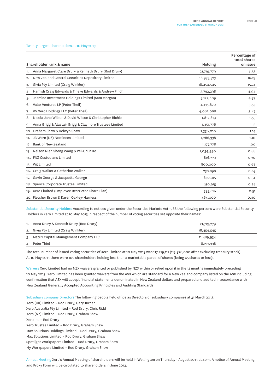#### Twenty largest shareholders at 10 May 2013

| Shareholder rank & name                                       |            | Percentage of<br>total shares<br>on issue |
|---------------------------------------------------------------|------------|-------------------------------------------|
|                                                               | Holding    |                                           |
| Anna Margaret Clare Drury & Kenneth Drury (Rod Drury)<br>1.   | 21,719,779 | 18.53                                     |
| New Zealand Central Securities Depository Limited<br>2.       | 18,975,573 | 16.19                                     |
| Givia Pty Limited (Craig Winkler)<br>3.                       | 18,454,545 | 15.74                                     |
| Hamish Craig Edwards & Tineke Edwards & Andrew Finch<br>4.    | 5,792,298  | 4.94                                      |
| Jasmine Investment Holdings Limited (Sam Morgan)<br>5.        | 5,122,609  | 4.37                                      |
| Valar Ventures LP (Peter Theil)<br>6.                         | 4,135,870  | 3.53                                      |
| VV Xero Holdings LLC (Peter Theil)<br>7.                      | 4,062,068  | 3.47                                      |
| Nicola Jane Wilson & David Wilson & Christopher Richie<br>8.  | 1,812,819  | 1.55                                      |
| Anna Grigg & Alastair Grigg & Claymore Trustees Limited<br>9. | 1,351,776  | 1.15                                      |
| 10. Graham Shaw & Delwyn Shaw                                 | 1,336,010  | 1.14                                      |
| 11. JB Were (NZ) Nominees Limited                             | 1,286,338  | 1.10                                      |
| 12. Bank of New Zealand                                       | 1,177,778  | 1.00                                      |
| 13. Nelson Nien Sheng Wang & Pei-Chun Ko                      | 1,034,990  | 0.88                                      |
| 14. FNZ Custodians Limited                                    | 816,779    | 0.70                                      |
| 15. W5 Limited                                                | 800,000    | 0.68                                      |
| 16. Craig Walker & Catherine Walker                           | 738,898    | 0.63                                      |
| 17. Gavin George & Jacquetta George                           | 630,915    | 0.54                                      |
| 18. Spence Corporate Trustee Limited                          | 630,915    | 0.54                                      |
| 19. Xero Limited (Employee Restricted Share Plan)             | 595,816    | O.51                                      |
| 20. Fletcher Brown & Karen Oakley-Harness                     | 464,000    | 0.40                                      |

Substantial Security Holders According to notices given under the Securities Markets Act 1988 the following persons were Substantial Security Holders in Xero Limited at 10 May 2013 in respect of the number of voting securities set opposite their names:

| 1. Anna Drury & Kenneth Drury (Rod Drury) | 21,719,779 |  |
|-------------------------------------------|------------|--|
| 2. Givia Pty Limited (Craig Winkler)      | 18,454,545 |  |
| 3. Matrix Capital Management Company LLC  | 11,489,934 |  |
| 4. Peter Thiel                            | 8,197,938  |  |

The total number of issued voting securities of Xero Limited at 10 May 2013 was 117,219,111 (115,378,000 after excluding treasury stock). At 10 May 2013 there were 109 shareholders holding less than a marketable parcel of shares (being 45 shares or less).

Waivers Xero Limited had no NZX waivers granted or published by NZX within or relied upon it in the 12 months immediately preceding 10 May 2013. Xero Limited has been granted waivers from the ASX which are standard for a New Zealand company listed on the ASX including confirmation that ASX will accept financial statements denominated in New Zealand dollars and prepared and audited in accordance with New Zealand Generally Accepted Accounting Principles and Auditing Standards.

Subsidiary company Directors The following people held office as Directors of subsidiary companies at 31 March 2013:

Xero (UK) Limited – Rod Drury, Gary Turner Xero Australia Pty Limited – Rod Drury, Chris Ridd Xero (NZ) Limited – Rod Drury, Graham Shaw Xero Inc – Rod Drury Xero Trustee Limited – Rod Drury, Graham Shaw Max Solutions Holdings Limited – Rod Drury, Graham Shaw Max Solutions Limited – Rod Drury, Graham Shaw Spotlight Workpapers Limited – Rod Drury, Graham Shaw My Workpapers Limited – Rod Drury, Graham Shaw

Annual Meeting Xero's Annual Meeting of shareholders will be held in Wellington on Thursday 1 August 2013 at 4pm. A notice of Annual Meeting and Proxy Form will be circulated to shareholders in June 2013.